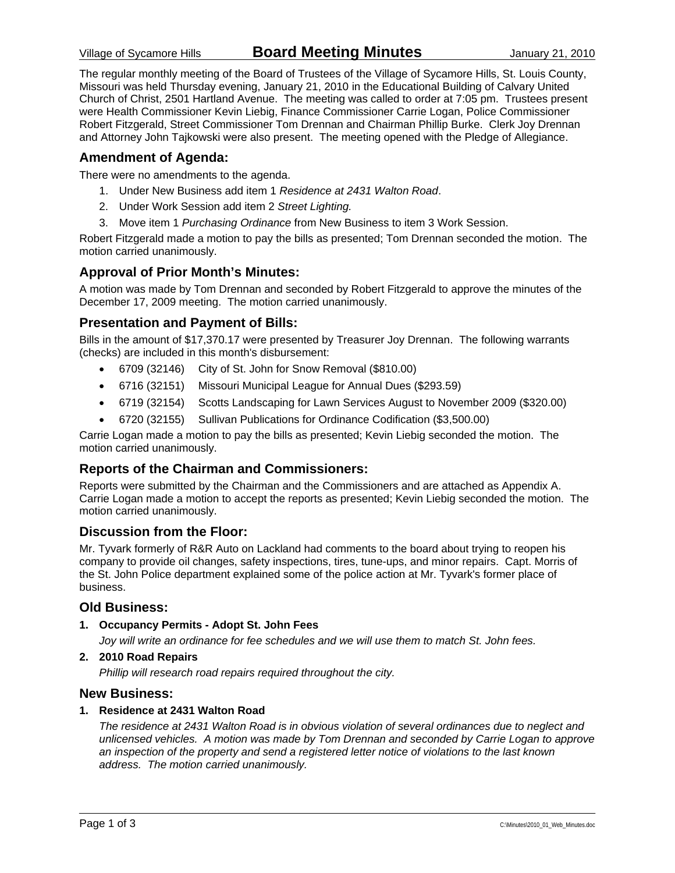The regular monthly meeting of the Board of Trustees of the Village of Sycamore Hills, St. Louis County, Missouri was held Thursday evening, January 21, 2010 in the Educational Building of Calvary United Church of Christ, 2501 Hartland Avenue. The meeting was called to order at 7:05 pm. Trustees present were Health Commissioner Kevin Liebig, Finance Commissioner Carrie Logan, Police Commissioner Robert Fitzgerald, Street Commissioner Tom Drennan and Chairman Phillip Burke. Clerk Joy Drennan and Attorney John Tajkowski were also present. The meeting opened with the Pledge of Allegiance.

#### **Amendment of Agenda:**

There were no amendments to the agenda.

- 1. Under New Business add item 1 *Residence at 2431 Walton Road*.
- 2. Under Work Session add item 2 *Street Lighting.*
- 3. Move item 1 *Purchasing Ordinance* from New Business to item 3 Work Session.

Robert Fitzgerald made a motion to pay the bills as presented; Tom Drennan seconded the motion. The motion carried unanimously.

#### **Approval of Prior Month's Minutes:**

A motion was made by Tom Drennan and seconded by Robert Fitzgerald to approve the minutes of the December 17, 2009 meeting. The motion carried unanimously.

#### **Presentation and Payment of Bills:**

Bills in the amount of \$17,370.17 were presented by Treasurer Joy Drennan. The following warrants (checks) are included in this month's disbursement:

- 6709 (32146) City of St. John for Snow Removal (\$810.00)
- 6716 (32151) Missouri Municipal League for Annual Dues (\$293.59)
- 6719 (32154) Scotts Landscaping for Lawn Services August to November 2009 (\$320.00)
- 6720 (32155) Sullivan Publications for Ordinance Codification (\$3,500.00)

Carrie Logan made a motion to pay the bills as presented; Kevin Liebig seconded the motion. The motion carried unanimously.

#### **Reports of the Chairman and Commissioners:**

Reports were submitted by the Chairman and the Commissioners and are attached as Appendix A. Carrie Logan made a motion to accept the reports as presented; Kevin Liebig seconded the motion. The motion carried unanimously.

#### **Discussion from the Floor:**

Mr. Tyvark formerly of R&R Auto on Lackland had comments to the board about trying to reopen his company to provide oil changes, safety inspections, tires, tune-ups, and minor repairs. Capt. Morris of the St. John Police department explained some of the police action at Mr. Tyvark's former place of business.

#### **Old Business:**

**1. Occupancy Permits - Adopt St. John Fees** 

*Joy will write an ordinance for fee schedules and we will use them to match St. John fees.* 

#### **2. 2010 Road Repairs**

*Phillip will research road repairs required throughout the city.* 

#### **New Business:**

#### **1. Residence at 2431 Walton Road**

*The residence at 2431 Walton Road is in obvious violation of several ordinances due to neglect and unlicensed vehicles. A motion was made by Tom Drennan and seconded by Carrie Logan to approve an inspection of the property and send a registered letter notice of violations to the last known address. The motion carried unanimously.*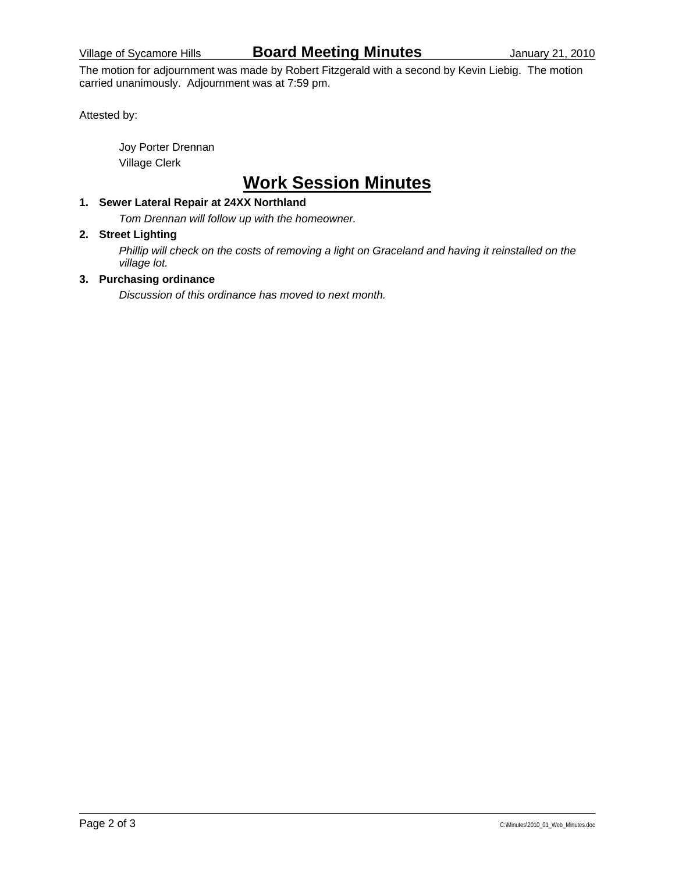The motion for adjournment was made by Robert Fitzgerald with a second by Kevin Liebig. The motion carried unanimously. Adjournment was at 7:59 pm.

Attested by:

 Joy Porter Drennan Village Clerk

## **Work Session Minutes**

### **1. Sewer Lateral Repair at 24XX Northland**

*Tom Drennan will follow up with the homeowner.* 

#### **2. Street Lighting**

*Phillip will check on the costs of removing a light on Graceland and having it reinstalled on the village lot.* 

#### **3. Purchasing ordinance**

*Discussion of this ordinance has moved to next month.*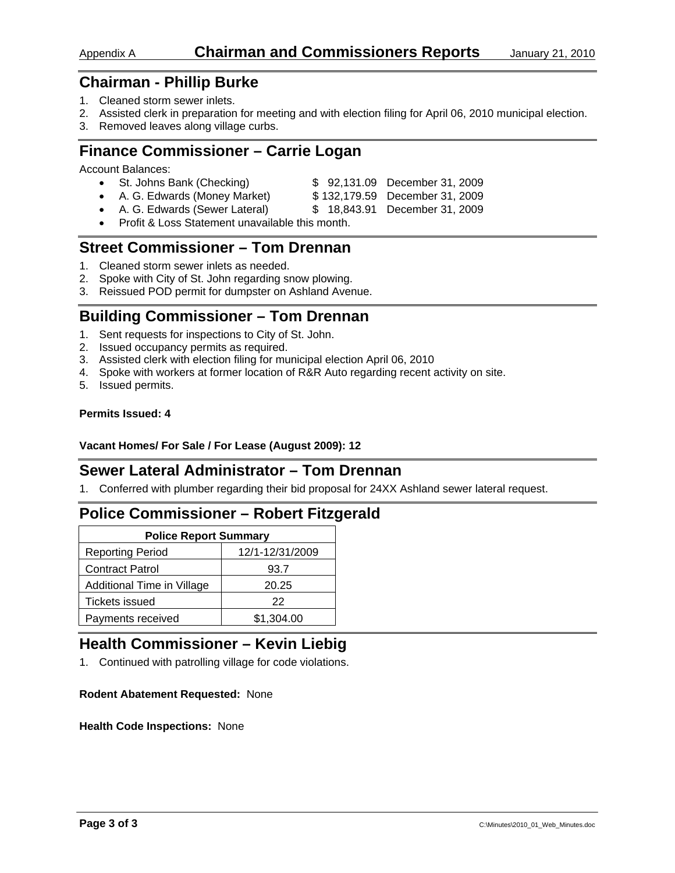### Appendix A **Chairman and Commissioners Reports** January 21, 2010

## **Chairman - Phillip Burke**

- 1. Cleaned storm sewer inlets.
- 2. Assisted clerk in preparation for meeting and with election filing for April 06, 2010 municipal election.
- 3. Removed leaves along village curbs.

## **Finance Commissioner – Carrie Logan**

Account Balances:

| • St. Johns Bank (Checking)    | \$92,131.09 December 31, 2009  |
|--------------------------------|--------------------------------|
| • A. G. Edwards (Money Market) | \$132,179.59 December 31, 2009 |

- A. G. Edwards (Sewer Lateral) \$ 18,843.91 December 31, 2009
- Profit & Loss Statement unavailable this month.

## **Street Commissioner – Tom Drennan**

- 1. Cleaned storm sewer inlets as needed.
- 2. Spoke with City of St. John regarding snow plowing.
- 3. Reissued POD permit for dumpster on Ashland Avenue.

## **Building Commissioner – Tom Drennan**

- 1. Sent requests for inspections to City of St. John.
- 2. Issued occupancy permits as required.
- 3. Assisted clerk with election filing for municipal election April 06, 2010
- 4. Spoke with workers at former location of R&R Auto regarding recent activity on site.
- 5. Issued permits.

#### **Permits Issued: 4**

#### **Vacant Homes/ For Sale / For Lease (August 2009): 12**

## **Sewer Lateral Administrator – Tom Drennan**

1. Conferred with plumber regarding their bid proposal for 24XX Ashland sewer lateral request.

## **Police Commissioner – Robert Fitzgerald**

| <b>Police Report Summary</b> |                 |  |  |  |
|------------------------------|-----------------|--|--|--|
| <b>Reporting Period</b>      | 12/1-12/31/2009 |  |  |  |
| <b>Contract Patrol</b>       | 93.7            |  |  |  |
| Additional Time in Village   | 20.25           |  |  |  |
| Tickets issued               | 22              |  |  |  |
| Payments received            | \$1,304.00      |  |  |  |

## **Health Commissioner – Kevin Liebig**

1. Continued with patrolling village for code violations.

#### **Rodent Abatement Requested:** None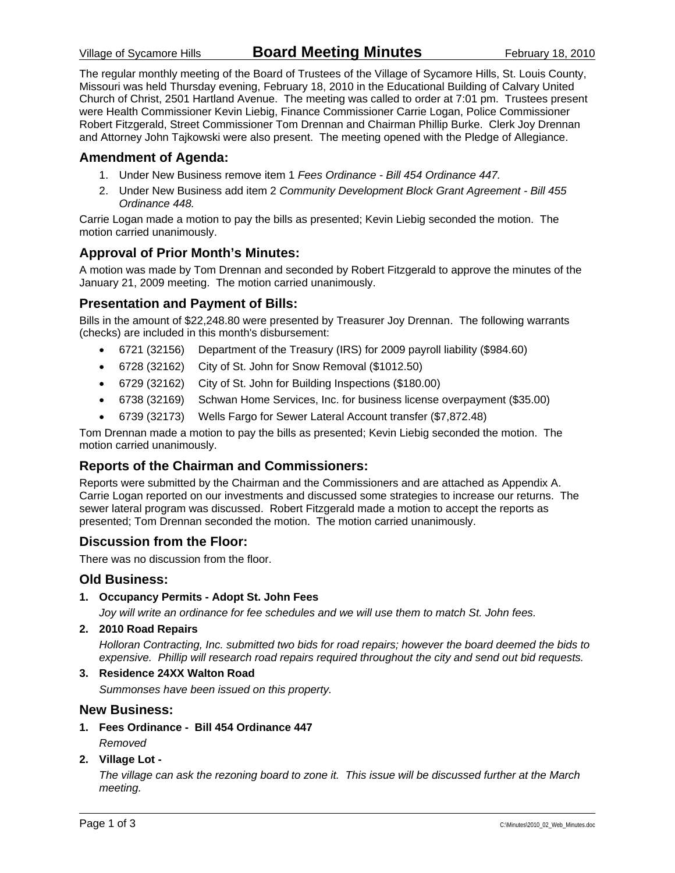The regular monthly meeting of the Board of Trustees of the Village of Sycamore Hills, St. Louis County, Missouri was held Thursday evening, February 18, 2010 in the Educational Building of Calvary United Church of Christ, 2501 Hartland Avenue. The meeting was called to order at 7:01 pm. Trustees present were Health Commissioner Kevin Liebig, Finance Commissioner Carrie Logan, Police Commissioner Robert Fitzgerald, Street Commissioner Tom Drennan and Chairman Phillip Burke. Clerk Joy Drennan and Attorney John Tajkowski were also present. The meeting opened with the Pledge of Allegiance.

#### **Amendment of Agenda:**

- 1. Under New Business remove item 1 *Fees Ordinance Bill 454 Ordinance 447.*
- 2. Under New Business add item 2 *Community Development Block Grant Agreement Bill 455 Ordinance 448.*

Carrie Logan made a motion to pay the bills as presented; Kevin Liebig seconded the motion. The motion carried unanimously.

#### **Approval of Prior Month's Minutes:**

A motion was made by Tom Drennan and seconded by Robert Fitzgerald to approve the minutes of the January 21, 2009 meeting. The motion carried unanimously.

#### **Presentation and Payment of Bills:**

Bills in the amount of \$22,248.80 were presented by Treasurer Joy Drennan. The following warrants (checks) are included in this month's disbursement:

- 6721 (32156) Department of the Treasury (IRS) for 2009 payroll liability (\$984.60)
- 6728 (32162) City of St. John for Snow Removal (\$1012.50)
- 6729 (32162) City of St. John for Building Inspections (\$180.00)
- 6738 (32169) Schwan Home Services, Inc. for business license overpayment (\$35.00)
- 6739 (32173) Wells Fargo for Sewer Lateral Account transfer (\$7,872.48)

Tom Drennan made a motion to pay the bills as presented; Kevin Liebig seconded the motion. The motion carried unanimously.

#### **Reports of the Chairman and Commissioners:**

Reports were submitted by the Chairman and the Commissioners and are attached as Appendix A. Carrie Logan reported on our investments and discussed some strategies to increase our returns. The sewer lateral program was discussed. Robert Fitzgerald made a motion to accept the reports as presented; Tom Drennan seconded the motion. The motion carried unanimously.

#### **Discussion from the Floor:**

There was no discussion from the floor.

#### **Old Business:**

**1. Occupancy Permits - Adopt St. John Fees** 

*Joy will write an ordinance for fee schedules and we will use them to match St. John fees.* 

**2. 2010 Road Repairs** 

*Holloran Contracting, Inc. submitted two bids for road repairs; however the board deemed the bids to expensive. Phillip will research road repairs required throughout the city and send out bid requests.* 

**3. Residence 24XX Walton Road** 

*Summonses have been issued on this property.* 

#### **New Business:**

- **1. Fees Ordinance Bill 454 Ordinance 447** 
	- *Removed*

#### **2. Village Lot -**

*The village can ask the rezoning board to zone it. This issue will be discussed further at the March meeting.*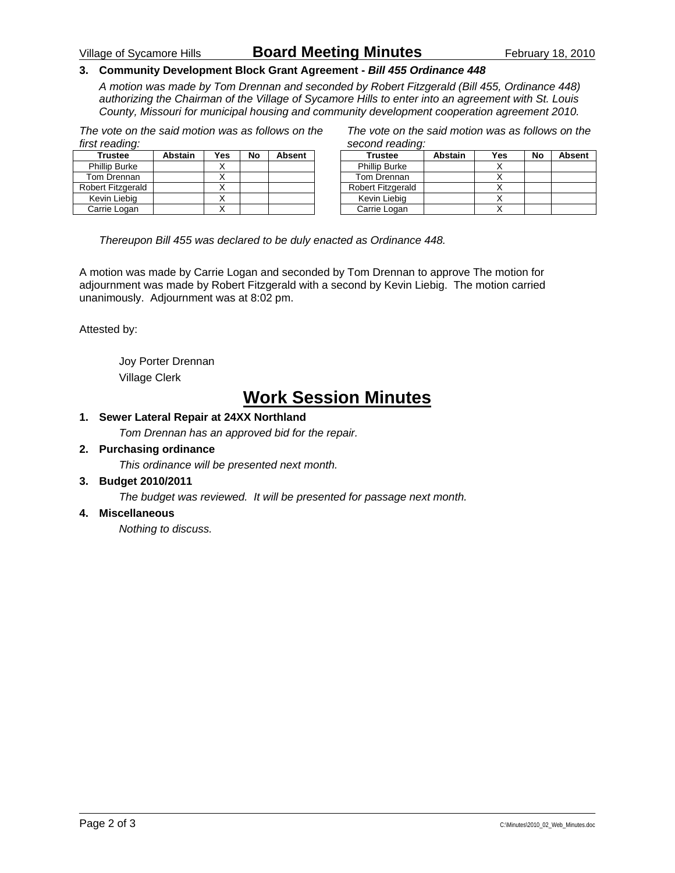### Village of Sycamore Hills **Board Meeting Minutes** February 18, 2010

#### **3. Community Development Block Grant Agreement -** *Bill 455 Ordinance 448*

*A motion was made by Tom Drennan and seconded by Robert Fitzgerald (Bill 455, Ordinance 448) authorizing the Chairman of the Village of Sycamore Hills to enter into an agreement with St. Louis County, Missouri for municipal housing and community development cooperation agreement 2010.* 

*The vote on the said motion was as follows on the first reading:* 

| <b>Trustee</b>       | <b>Abstain</b> | Yes | No | <b>Absent</b> |
|----------------------|----------------|-----|----|---------------|
| <b>Phillip Burke</b> |                |     |    |               |
| Tom Drennan          |                |     |    |               |
| Robert Fitzgerald    |                |     |    |               |
| Kevin Liebig         |                |     |    |               |
| Carrie Logan         |                |     |    |               |

*The vote on the said motion was as follows on the second reading:* 

| <b>Trustee</b>           | Abstain | Yes | No | <b>Absent</b> |
|--------------------------|---------|-----|----|---------------|
| <b>Phillip Burke</b>     |         |     |    |               |
| Tom Drennan              |         |     |    |               |
| <b>Robert Fitzgerald</b> |         |     |    |               |
| Kevin Liebig             |         |     |    |               |
| Carrie Logan             |         |     |    |               |

*Thereupon Bill 455 was declared to be duly enacted as Ordinance 448.* 

A motion was made by Carrie Logan and seconded by Tom Drennan to approve The motion for adjournment was made by Robert Fitzgerald with a second by Kevin Liebig. The motion carried unanimously. Adjournment was at 8:02 pm.

Attested by:

 Joy Porter Drennan Village Clerk

## **Work Session Minutes**

#### **1. Sewer Lateral Repair at 24XX Northland**

*Tom Drennan has an approved bid for the repair.* 

#### **2. Purchasing ordinance**

*This ordinance will be presented next month.* 

#### **3. Budget 2010/2011**

*The budget was reviewed. It will be presented for passage next month.* 

#### **4. Miscellaneous**

*Nothing to discuss.*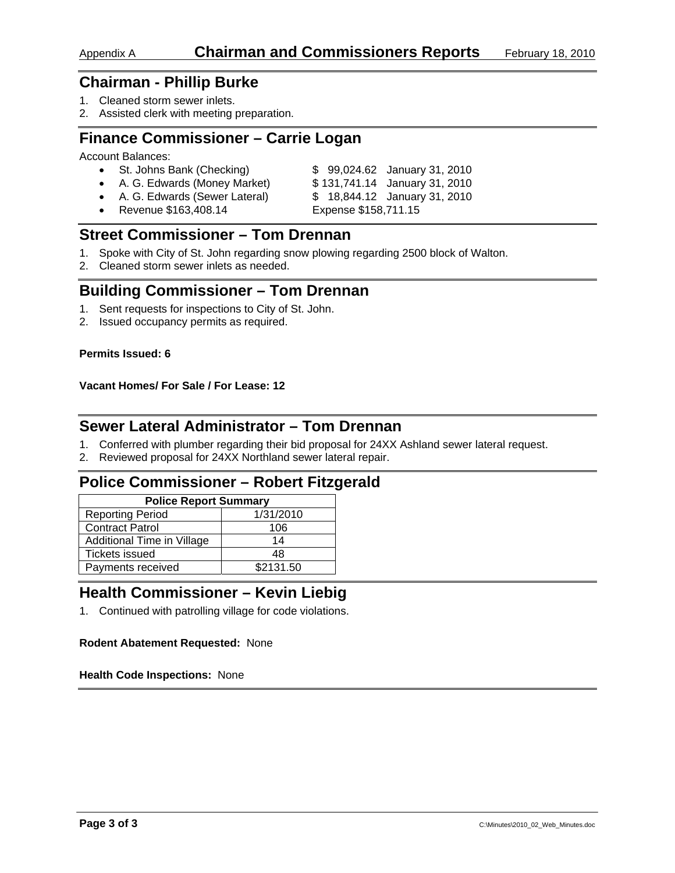- 1. Cleaned storm sewer inlets.
- 2. Assisted clerk with meeting preparation.

## **Finance Commissioner – Carrie Logan**

Account Balances:

| • St. Johns Bank (Checking)     | \$99,024.62 January 31, 2010  |
|---------------------------------|-------------------------------|
| • A. G. Edwards (Money Market)  | \$131,741.14 January 31, 2010 |
| • A. G. Edwards (Sewer Lateral) | \$18,844.12 January 31, 2010  |

• Revenue \$163,408.14 Expense \$158,711.15

## **Street Commissioner – Tom Drennan**

- 1. Spoke with City of St. John regarding snow plowing regarding 2500 block of Walton.
- 2. Cleaned storm sewer inlets as needed.

## **Building Commissioner – Tom Drennan**

- 1. Sent requests for inspections to City of St. John.
- 2. Issued occupancy permits as required.

#### **Permits Issued: 6**

#### **Vacant Homes/ For Sale / For Lease: 12**

## **Sewer Lateral Administrator – Tom Drennan**

- 1. Conferred with plumber regarding their bid proposal for 24XX Ashland sewer lateral request.
- 2. Reviewed proposal for 24XX Northland sewer lateral repair.

## **Police Commissioner – Robert Fitzgerald**

| <b>Police Report Summary</b> |           |  |  |  |
|------------------------------|-----------|--|--|--|
| <b>Reporting Period</b>      | 1/31/2010 |  |  |  |
| <b>Contract Patrol</b>       | 106       |  |  |  |
| Additional Time in Village   | 14        |  |  |  |
| <b>Tickets issued</b>        | 48        |  |  |  |
| Payments received            | \$2131.50 |  |  |  |

## **Health Commissioner – Kevin Liebig**

1. Continued with patrolling village for code violations.

#### **Rodent Abatement Requested:** None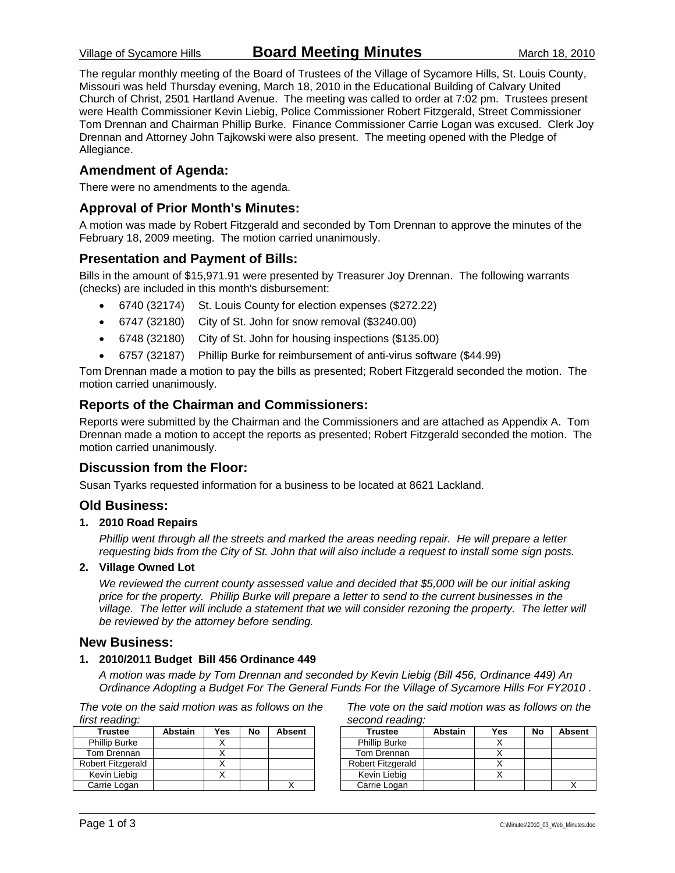The regular monthly meeting of the Board of Trustees of the Village of Sycamore Hills, St. Louis County, Missouri was held Thursday evening, March 18, 2010 in the Educational Building of Calvary United Church of Christ, 2501 Hartland Avenue. The meeting was called to order at 7:02 pm. Trustees present were Health Commissioner Kevin Liebig, Police Commissioner Robert Fitzgerald, Street Commissioner Tom Drennan and Chairman Phillip Burke. Finance Commissioner Carrie Logan was excused. Clerk Joy Drennan and Attorney John Tajkowski were also present. The meeting opened with the Pledge of Allegiance.

#### **Amendment of Agenda:**

There were no amendments to the agenda.

#### **Approval of Prior Month's Minutes:**

A motion was made by Robert Fitzgerald and seconded by Tom Drennan to approve the minutes of the February 18, 2009 meeting. The motion carried unanimously.

#### **Presentation and Payment of Bills:**

Bills in the amount of \$15,971.91 were presented by Treasurer Joy Drennan. The following warrants (checks) are included in this month's disbursement:

- 6740 (32174) St. Louis County for election expenses (\$272.22)
- 6747 (32180) City of St. John for snow removal (\$3240.00)
- 6748 (32180) City of St. John for housing inspections (\$135.00)
- 6757 (32187) Phillip Burke for reimbursement of anti-virus software (\$44.99)

Tom Drennan made a motion to pay the bills as presented; Robert Fitzgerald seconded the motion. The motion carried unanimously.

#### **Reports of the Chairman and Commissioners:**

Reports were submitted by the Chairman and the Commissioners and are attached as Appendix A. Tom Drennan made a motion to accept the reports as presented; Robert Fitzgerald seconded the motion. The motion carried unanimously.

#### **Discussion from the Floor:**

Susan Tyarks requested information for a business to be located at 8621 Lackland.

#### **Old Business:**

#### **1. 2010 Road Repairs**

*Phillip went through all the streets and marked the areas needing repair. He will prepare a letter requesting bids from the City of St. John that will also include a request to install some sign posts.* 

#### **2. Village Owned Lot**

*We reviewed the current county assessed value and decided that \$5,000 will be our initial asking price for the property. Phillip Burke will prepare a letter to send to the current businesses in the village. The letter will include a statement that we will consider rezoning the property. The letter will be reviewed by the attorney before sending.* 

#### **New Business:**

#### **1. 2010/2011 Budget Bill 456 Ordinance 449**

*A motion was made by Tom Drennan and seconded by Kevin Liebig (Bill 456, Ordinance 449) An Ordinance Adopting a Budget For The General Funds For the Village of Sycamore Hills For FY2010 .* 

*The vote on the said motion was as follows on the first reading:* 

| <b>Trustee</b>       | <b>Abstain</b> | <b>Yes</b> | No | <b>Absent</b> |  |
|----------------------|----------------|------------|----|---------------|--|
| <b>Phillip Burke</b> |                |            |    |               |  |
| Tom Drennan          |                |            |    |               |  |
| Robert Fitzgerald    |                |            |    |               |  |
| Kevin Liebig         |                |            |    |               |  |
| Carrie Logan         |                |            |    |               |  |

*The vote on the said motion was as follows on the second reading:* 

| <b>Trustee</b>           | Abstain | Yes | No | <b>Absent</b> |
|--------------------------|---------|-----|----|---------------|
| <b>Phillip Burke</b>     |         |     |    |               |
| Tom Drennan              |         |     |    |               |
| <b>Robert Fitzgerald</b> |         |     |    |               |
| Kevin Liebig             |         |     |    |               |
| Carrie Logan             |         |     |    |               |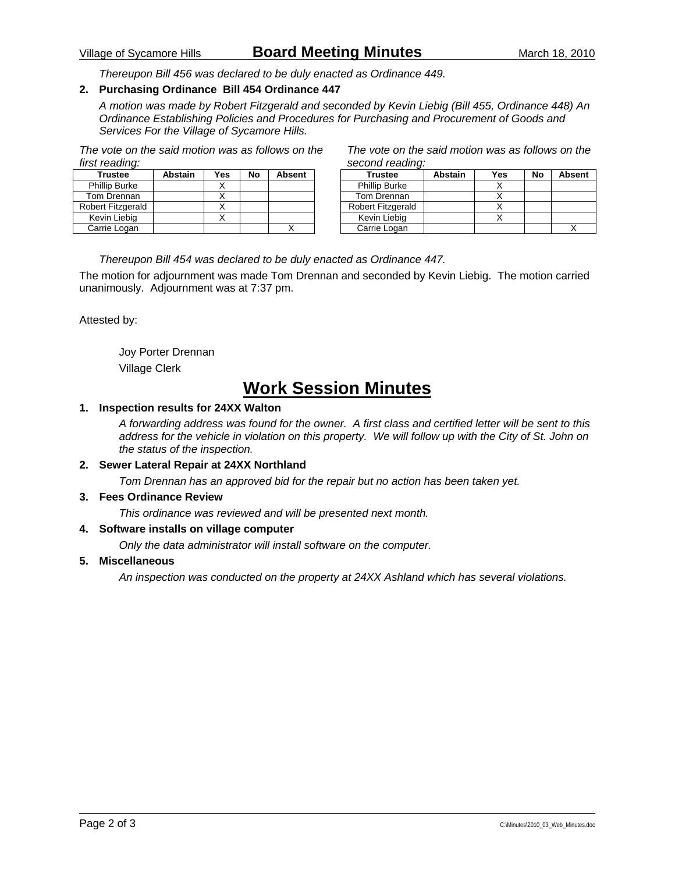### Village of Sycamore Hills **Board Meeting Minutes** March 18, 2010

*Thereupon Bill 456 was declared to be duly enacted as Ordinance 449.* 

#### **2. Purchasing Ordinance Bill 454 Ordinance 447**

*A motion was made by Robert Fitzgerald and seconded by Kevin Liebig (Bill 455, Ordinance 448) An Ordinance Establishing Policies and Procedures for Purchasing and Procurement of Goods and Services For the Village of Sycamore Hills.* 

*The vote on the said motion was as follows on the first reading:* 

| Trustee              | <b>Abstain</b> | Yes | No | <b>Absent</b> |
|----------------------|----------------|-----|----|---------------|
| <b>Phillip Burke</b> |                |     |    |               |
| Tom Drennan          |                |     |    |               |
| Robert Fitzgerald    |                |     |    |               |
| Kevin Liebig         |                |     |    |               |
| Carrie Logan         |                |     |    |               |

*The vote on the said motion was as follows on the second reading:* 

| <b>Trustee</b>       | <b>Abstain</b> | Yes | No | <b>Absent</b> |
|----------------------|----------------|-----|----|---------------|
| <b>Phillip Burke</b> |                |     |    |               |
| Tom Drennan          |                |     |    |               |
| Robert Fitzgerald    |                |     |    |               |
| Kevin Liebig         |                |     |    |               |
| Carrie Logan         |                |     |    |               |

#### *Thereupon Bill 454 was declared to be duly enacted as Ordinance 447.*

The motion for adjournment was made Tom Drennan and seconded by Kevin Liebig. The motion carried unanimously. Adjournment was at 7:37 pm.

Attested by:

 Joy Porter Drennan Village Clerk

## **Work Session Minutes**

#### **1. Inspection results for 24XX Walton**

*A forwarding address was found for the owner. A first class and certified letter will be sent to this address for the vehicle in violation on this property. We will follow up with the City of St. John on the status of the inspection.* 

#### **2. Sewer Lateral Repair at 24XX Northland**

*Tom Drennan has an approved bid for the repair but no action has been taken yet.* 

#### **3. Fees Ordinance Review**

*This ordinance was reviewed and will be presented next month.* 

#### **4. Software installs on village computer**

*Only the data administrator will install software on the computer.* 

#### **5. Miscellaneous**

*An inspection was conducted on the property at 24XX Ashland which has several violations.*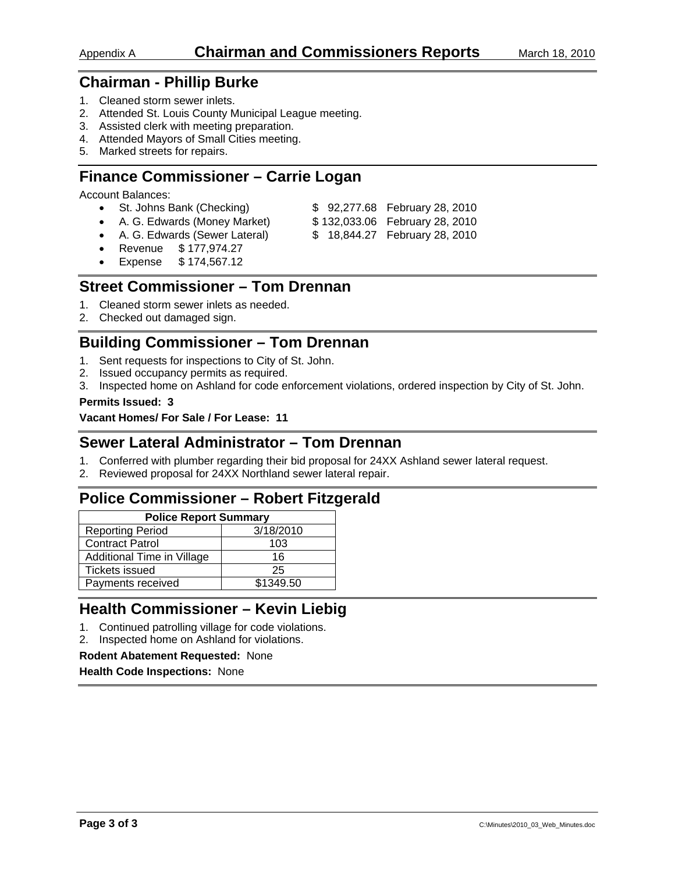- 1. Cleaned storm sewer inlets.
- 2. Attended St. Louis County Municipal League meeting.
- 3. Assisted clerk with meeting preparation.
- 4. Attended Mayors of Small Cities meeting.
- 5. Marked streets for repairs.

## **Finance Commissioner – Carrie Logan**

Account Balances:

- St. Johns Bank (Checking)  $$ 92,277.68$  February 28, 2010
- A. G. Edwards (Money Market) \$132,033.06 February 28, 2010
- 
- A. G. Edwards (Sewer Lateral) \$ 18,844.27 February 28, 2010
- Revenue \$ 177,974.27
- Expense \$ 174,567.12

## **Street Commissioner – Tom Drennan**

- 1. Cleaned storm sewer inlets as needed.
- 2. Checked out damaged sign.

## **Building Commissioner – Tom Drennan**

- 1. Sent requests for inspections to City of St. John.
- 2. Issued occupancy permits as required.
- 3. Inspected home on Ashland for code enforcement violations, ordered inspection by City of St. John.

#### **Permits Issued: 3**

**Vacant Homes/ For Sale / For Lease: 11** 

## **Sewer Lateral Administrator – Tom Drennan**

- 1. Conferred with plumber regarding their bid proposal for 24XX Ashland sewer lateral request.
- 2. Reviewed proposal for 24XX Northland sewer lateral repair.

## **Police Commissioner – Robert Fitzgerald**

| <b>Police Report Summary</b> |  |  |  |  |
|------------------------------|--|--|--|--|
| 3/18/2010                    |  |  |  |  |
| 103                          |  |  |  |  |
| 16                           |  |  |  |  |
| 25                           |  |  |  |  |
| \$1349.50                    |  |  |  |  |
|                              |  |  |  |  |

## **Health Commissioner – Kevin Liebig**

- 1. Continued patrolling village for code violations.
- 2. Inspected home on Ashland for violations.

#### **Rodent Abatement Requested:** None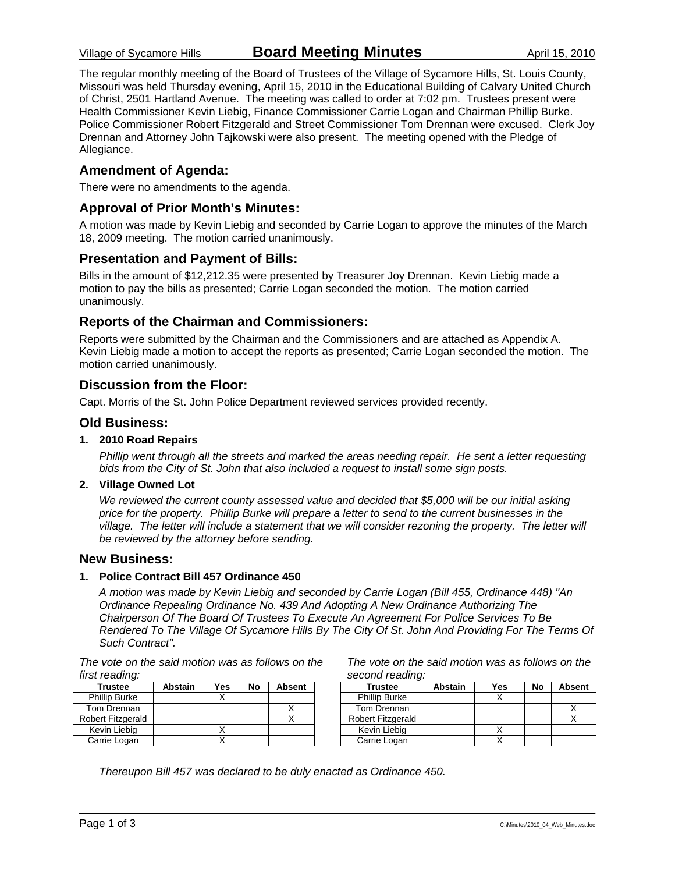The regular monthly meeting of the Board of Trustees of the Village of Sycamore Hills, St. Louis County, Missouri was held Thursday evening, April 15, 2010 in the Educational Building of Calvary United Church of Christ, 2501 Hartland Avenue. The meeting was called to order at 7:02 pm. Trustees present were Health Commissioner Kevin Liebig, Finance Commissioner Carrie Logan and Chairman Phillip Burke. Police Commissioner Robert Fitzgerald and Street Commissioner Tom Drennan were excused. Clerk Joy Drennan and Attorney John Tajkowski were also present. The meeting opened with the Pledge of Allegiance.

#### **Amendment of Agenda:**

There were no amendments to the agenda.

#### **Approval of Prior Month's Minutes:**

A motion was made by Kevin Liebig and seconded by Carrie Logan to approve the minutes of the March 18, 2009 meeting. The motion carried unanimously.

#### **Presentation and Payment of Bills:**

Bills in the amount of \$12,212.35 were presented by Treasurer Joy Drennan. Kevin Liebig made a motion to pay the bills as presented; Carrie Logan seconded the motion. The motion carried unanimously.

#### **Reports of the Chairman and Commissioners:**

Reports were submitted by the Chairman and the Commissioners and are attached as Appendix A. Kevin Liebig made a motion to accept the reports as presented; Carrie Logan seconded the motion. The motion carried unanimously.

#### **Discussion from the Floor:**

Capt. Morris of the St. John Police Department reviewed services provided recently.

#### **Old Business:**

#### **1. 2010 Road Repairs**

*Phillip went through all the streets and marked the areas needing repair. He sent a letter requesting bids from the City of St. John that also included a request to install some sign posts.* 

#### **2. Village Owned Lot**

*We reviewed the current county assessed value and decided that \$5,000 will be our initial asking price for the property. Phillip Burke will prepare a letter to send to the current businesses in the village.* The letter will include a statement that we will consider rezoning the property. The letter will *be reviewed by the attorney before sending.* 

#### **New Business:**

#### **1. Police Contract Bill 457 Ordinance 450**

*A motion was made by Kevin Liebig and seconded by Carrie Logan (Bill 455, Ordinance 448) "An Ordinance Repealing Ordinance No. 439 And Adopting A New Ordinance Authorizing The Chairperson Of The Board Of Trustees To Execute An Agreement For Police Services To Be Rendered To The Village Of Sycamore Hills By The City Of St. John And Providing For The Terms Of Such Contract".* 

*The vote on the said motion was as follows on the first reading:* 

| <b>Trustee</b>       | <b>Abstain</b> | Yes | No | <b>Absent</b> |
|----------------------|----------------|-----|----|---------------|
| <b>Phillip Burke</b> |                |     |    |               |
| Tom Drennan          |                |     |    |               |
| Robert Fitzgerald    |                |     |    |               |
| Kevin Liebia         |                |     |    |               |
| Carrie Logan         |                |     |    |               |

*The vote on the said motion was as follows on the second reading:* 

| Trustee                  | <b>Abstain</b> | Yes | No | <b>Absent</b> |
|--------------------------|----------------|-----|----|---------------|
| <b>Phillip Burke</b>     |                |     |    |               |
| Tom Drennan              |                |     |    |               |
| <b>Robert Fitzgerald</b> |                |     |    |               |
| Kevin Liebig             |                |     |    |               |
| Carrie Logan             |                |     |    |               |

*Thereupon Bill 457 was declared to be duly enacted as Ordinance 450.*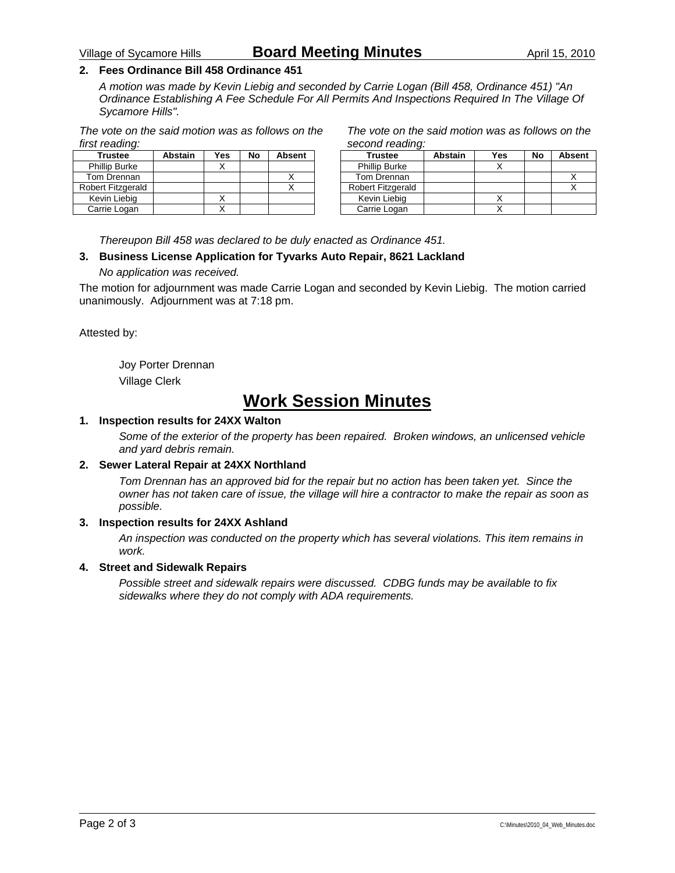#### **2. Fees Ordinance Bill 458 Ordinance 451**

*A motion was made by Kevin Liebig and seconded by Carrie Logan (Bill 458, Ordinance 451) "An Ordinance Establishing A Fee Schedule For All Permits And Inspections Required In The Village Of Sycamore Hills".* 

*The vote on the said motion was as follows on the first reading:* 

| <b>Trustee</b>       | <b>Abstain</b> | Yes | No | <b>Absent</b> |
|----------------------|----------------|-----|----|---------------|
| <b>Phillip Burke</b> |                |     |    |               |
| Tom Drennan          |                |     |    |               |
| Robert Fitzgerald    |                |     |    |               |
| Kevin Liebig         |                |     |    |               |
| Carrie Logan         |                |     |    |               |

*The vote on the said motion was as follows on the second reading:* 

| <b>Trustee</b>       | Abstain | Yes | No | <b>Absent</b> |
|----------------------|---------|-----|----|---------------|
| <b>Phillip Burke</b> |         |     |    |               |
| Tom Drennan          |         |     |    |               |
| Robert Fitzgerald    |         |     |    |               |
| Kevin Liebig         |         |     |    |               |
| Carrie Logan         |         |     |    |               |

*Thereupon Bill 458 was declared to be duly enacted as Ordinance 451.* 

#### **3. Business License Application for Tyvarks Auto Repair, 8621 Lackland**

*No application was received.* 

The motion for adjournment was made Carrie Logan and seconded by Kevin Liebig. The motion carried unanimously. Adjournment was at 7:18 pm.

Attested by:

 Joy Porter Drennan Village Clerk

## **Work Session Minutes**

#### **1. Inspection results for 24XX Walton**

*Some of the exterior of the property has been repaired. Broken windows, an unlicensed vehicle and yard debris remain.* 

#### **2. Sewer Lateral Repair at 24XX Northland**

*Tom Drennan has an approved bid for the repair but no action has been taken yet. Since the owner has not taken care of issue, the village will hire a contractor to make the repair as soon as possible.* 

#### **3. Inspection results for 24XX Ashland**

*An inspection was conducted on the property which has several violations. This item remains in work.* 

#### **4. Street and Sidewalk Repairs**

*Possible street and sidewalk repairs were discussed. CDBG funds may be available to fix sidewalks where they do not comply with ADA requirements.*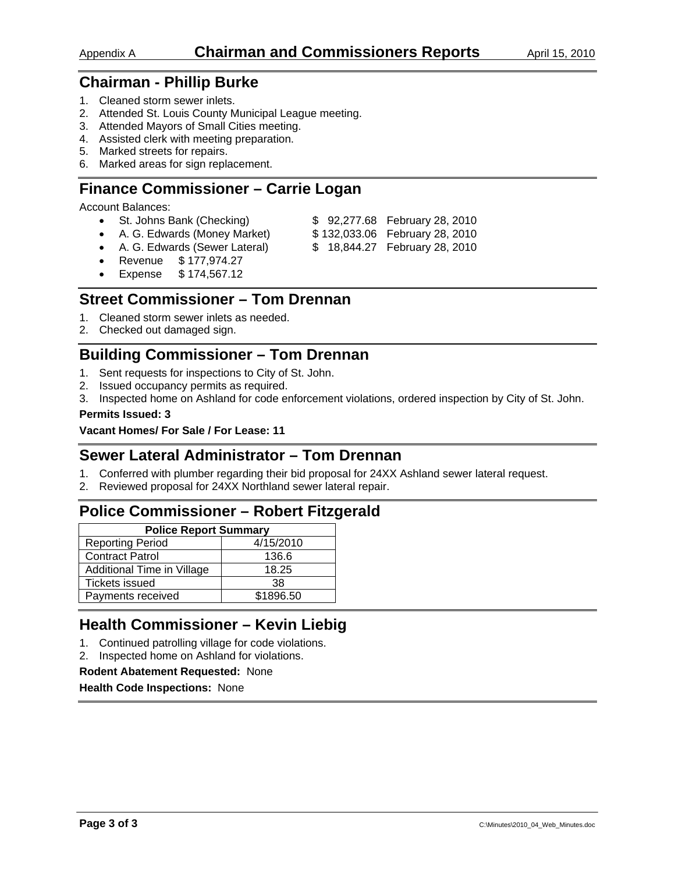- 1. Cleaned storm sewer inlets.
- 2. Attended St. Louis County Municipal League meeting.
- 3. Attended Mayors of Small Cities meeting.
- 4. Assisted clerk with meeting preparation.
- 5. Marked streets for repairs.
- 6. Marked areas for sign replacement.

## **Finance Commissioner – Carrie Logan**

Account Balances:

- St. Johns Bank (Checking) \$ 92,277.68 February 28, 2010
- A. G. Edwards (Money Market)  $$132,033.06$  February 28, 2010
- A. G. Edwards (Sewer Lateral) \$ 18,844.27 February 28, 2010
- Revenue \$ 177,974.27
- Expense \$ 174,567.12

## **Street Commissioner – Tom Drennan**

- 1. Cleaned storm sewer inlets as needed.
- 2. Checked out damaged sign.

## **Building Commissioner – Tom Drennan**

- 1. Sent requests for inspections to City of St. John.
- 2. Issued occupancy permits as required.
- 3. Inspected home on Ashland for code enforcement violations, ordered inspection by City of St. John.

#### **Permits Issued: 3**

#### **Vacant Homes/ For Sale / For Lease: 11**

## **Sewer Lateral Administrator – Tom Drennan**

- 1. Conferred with plumber regarding their bid proposal for 24XX Ashland sewer lateral request.
- 2. Reviewed proposal for 24XX Northland sewer lateral repair.

## **Police Commissioner – Robert Fitzgerald**

| <b>Police Report Summary</b> |           |  |  |  |
|------------------------------|-----------|--|--|--|
| <b>Reporting Period</b>      | 4/15/2010 |  |  |  |
| <b>Contract Patrol</b>       | 136.6     |  |  |  |
| Additional Time in Village   | 18.25     |  |  |  |
| <b>Tickets issued</b>        | 38        |  |  |  |
| Payments received            | \$1896.50 |  |  |  |

## **Health Commissioner – Kevin Liebig**

- 1. Continued patrolling village for code violations.
- 2. Inspected home on Ashland for violations.

#### **Rodent Abatement Requested:** None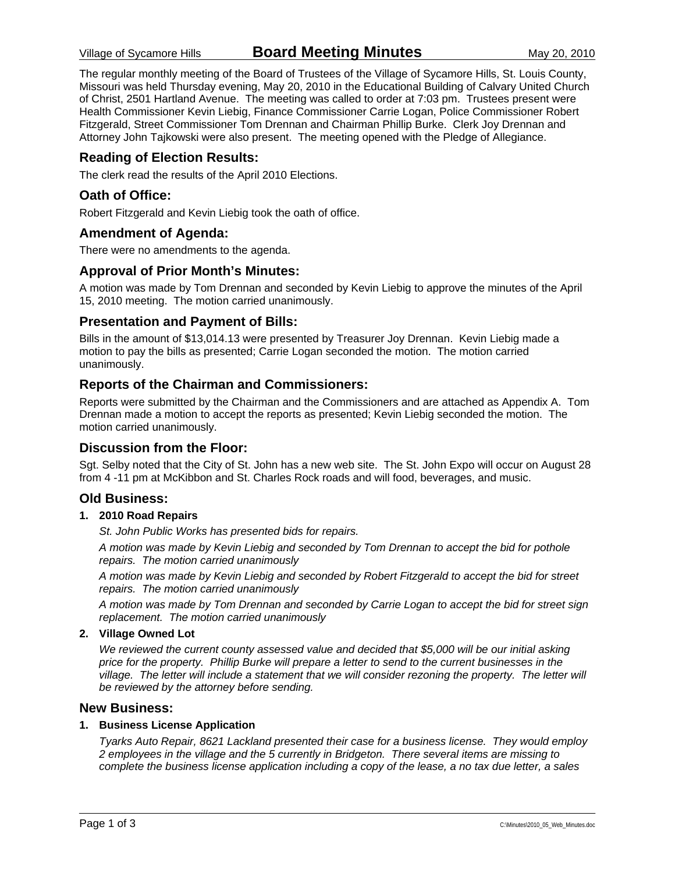The regular monthly meeting of the Board of Trustees of the Village of Sycamore Hills, St. Louis County, Missouri was held Thursday evening, May 20, 2010 in the Educational Building of Calvary United Church of Christ, 2501 Hartland Avenue. The meeting was called to order at 7:03 pm. Trustees present were Health Commissioner Kevin Liebig, Finance Commissioner Carrie Logan, Police Commissioner Robert Fitzgerald, Street Commissioner Tom Drennan and Chairman Phillip Burke. Clerk Joy Drennan and Attorney John Tajkowski were also present. The meeting opened with the Pledge of Allegiance.

#### **Reading of Election Results:**

The clerk read the results of the April 2010 Elections.

#### **Oath of Office:**

Robert Fitzgerald and Kevin Liebig took the oath of office.

#### **Amendment of Agenda:**

There were no amendments to the agenda.

#### **Approval of Prior Month's Minutes:**

A motion was made by Tom Drennan and seconded by Kevin Liebig to approve the minutes of the April 15, 2010 meeting. The motion carried unanimously.

#### **Presentation and Payment of Bills:**

Bills in the amount of \$13,014.13 were presented by Treasurer Joy Drennan. Kevin Liebig made a motion to pay the bills as presented; Carrie Logan seconded the motion. The motion carried unanimously.

#### **Reports of the Chairman and Commissioners:**

Reports were submitted by the Chairman and the Commissioners and are attached as Appendix A. Tom Drennan made a motion to accept the reports as presented; Kevin Liebig seconded the motion. The motion carried unanimously.

#### **Discussion from the Floor:**

Sgt. Selby noted that the City of St. John has a new web site. The St. John Expo will occur on August 28 from 4 -11 pm at McKibbon and St. Charles Rock roads and will food, beverages, and music.

#### **Old Business:**

#### **1. 2010 Road Repairs**

*St. John Public Works has presented bids for repairs.* 

*A motion was made by Kevin Liebig and seconded by Tom Drennan to accept the bid for pothole repairs. The motion carried unanimously* 

*A motion was made by Kevin Liebig and seconded by Robert Fitzgerald to accept the bid for street repairs. The motion carried unanimously* 

*A motion was made by Tom Drennan and seconded by Carrie Logan to accept the bid for street sign replacement. The motion carried unanimously* 

#### **2. Village Owned Lot**

*We reviewed the current county assessed value and decided that \$5,000 will be our initial asking price for the property. Phillip Burke will prepare a letter to send to the current businesses in the village. The letter will include a statement that we will consider rezoning the property. The letter will be reviewed by the attorney before sending.* 

#### **New Business:**

#### **1. Business License Application**

*Tyarks Auto Repair, 8621 Lackland presented their case for a business license. They would employ 2 employees in the village and the 5 currently in Bridgeton. There several items are missing to complete the business license application including a copy of the lease, a no tax due letter, a sales*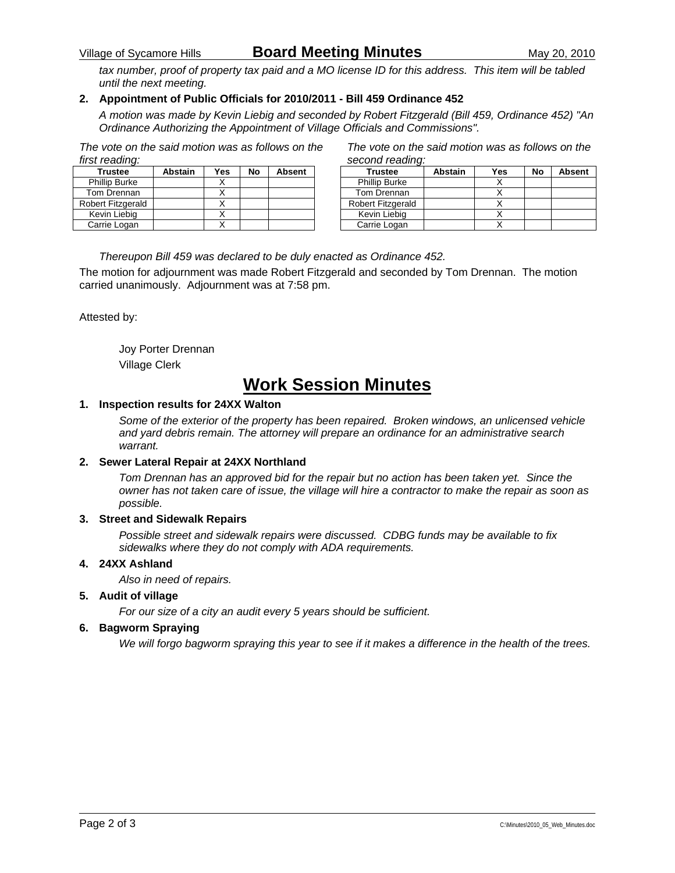## Village of Sycamore Hills **Board Meeting Minutes** May 20, 2010

*tax number, proof of property tax paid and a MO license ID for this address. This item will be tabled until the next meeting.* 

#### **2. Appointment of Public Officials for 2010/2011 - Bill 459 Ordinance 452**

*A motion was made by Kevin Liebig and seconded by Robert Fitzgerald (Bill 459, Ordinance 452) "An Ordinance Authorizing the Appointment of Village Officials and Commissions".* 

*The vote on the said motion was as follows on the first reading:* 

| <b>Trustee</b>       | <b>Abstain</b> | Yes | No | <b>Absent</b> |
|----------------------|----------------|-----|----|---------------|
| <b>Phillip Burke</b> |                |     |    |               |
| Tom Drennan          |                |     |    |               |
| Robert Fitzgerald    |                |     |    |               |
| Kevin Liebig         |                |     |    |               |
| Carrie Logan         |                |     |    |               |

*The vote on the said motion was as follows on the second reading:* 

| <b>Trustee</b>           | <b>Abstain</b> | Yes | No | <b>Absent</b> |
|--------------------------|----------------|-----|----|---------------|
| <b>Phillip Burke</b>     |                |     |    |               |
| Tom Drennan              |                |     |    |               |
| <b>Robert Fitzgerald</b> |                |     |    |               |
| Kevin Liebig             |                |     |    |               |
| Carrie Logan             |                |     |    |               |

*Thereupon Bill 459 was declared to be duly enacted as Ordinance 452.* 

The motion for adjournment was made Robert Fitzgerald and seconded by Tom Drennan. The motion carried unanimously. Adjournment was at 7:58 pm.

Attested by:

 Joy Porter Drennan Village Clerk

## **Work Session Minutes**

#### **1. Inspection results for 24XX Walton**

*Some of the exterior of the property has been repaired. Broken windows, an unlicensed vehicle and yard debris remain. The attorney will prepare an ordinance for an administrative search warrant.* 

#### **2. Sewer Lateral Repair at 24XX Northland**

*Tom Drennan has an approved bid for the repair but no action has been taken yet. Since the owner has not taken care of issue, the village will hire a contractor to make the repair as soon as possible.* 

#### **3. Street and Sidewalk Repairs**

*Possible street and sidewalk repairs were discussed. CDBG funds may be available to fix sidewalks where they do not comply with ADA requirements.* 

#### **4. 24XX Ashland**

*Also in need of repairs.* 

#### **5. Audit of village**

*For our size of a city an audit every 5 years should be sufficient.* 

#### **6. Bagworm Spraying**

*We will forgo bagworm spraying this year to see if it makes a difference in the health of the trees.*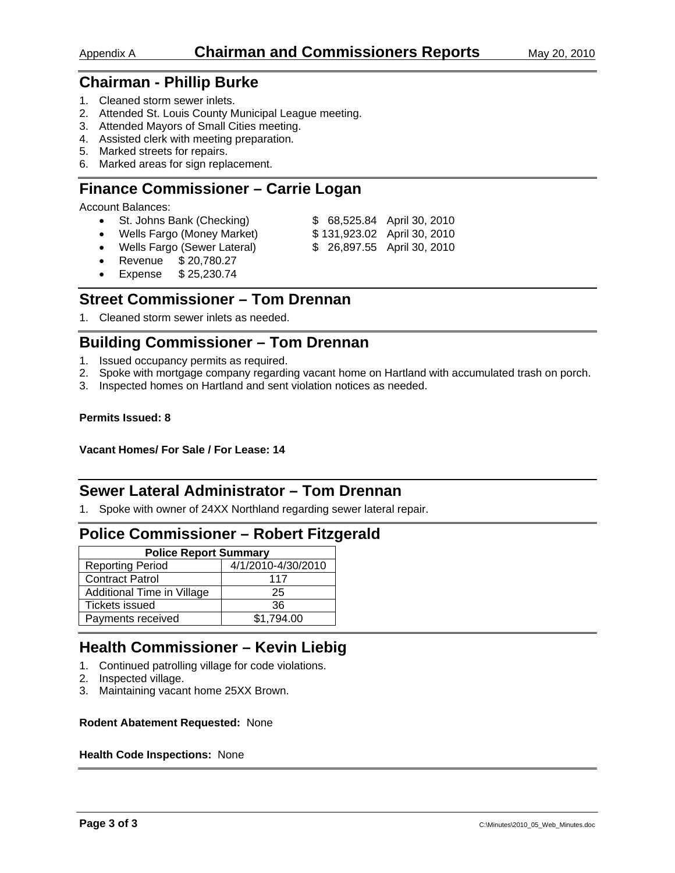- 1. Cleaned storm sewer inlets.
- 2. Attended St. Louis County Municipal League meeting.
- 3. Attended Mayors of Small Cities meeting.
- 4. Assisted clerk with meeting preparation.
- 5. Marked streets for repairs.
- 6. Marked areas for sign replacement.

## **Finance Commissioner – Carrie Logan**

Account Balances:

- St. Johns Bank (Checking) \$ 68,525.84 April 30, 2010
- Wells Fargo (Money Market) \$131,923.02 April 30, 2010
	-
- Wells Fargo (Sewer Lateral) \$ 26,897.55 April 30, 2010
- Revenue \$ 20,780.27
- Expense \$ 25,230.74

## **Street Commissioner – Tom Drennan**

1. Cleaned storm sewer inlets as needed.

## **Building Commissioner – Tom Drennan**

- 1. Issued occupancy permits as required.
- 2. Spoke with mortgage company regarding vacant home on Hartland with accumulated trash on porch.
- 3. Inspected homes on Hartland and sent violation notices as needed.

#### **Permits Issued: 8**

**Vacant Homes/ For Sale / For Lease: 14** 

## **Sewer Lateral Administrator – Tom Drennan**

1. Spoke with owner of 24XX Northland regarding sewer lateral repair.

## **Police Commissioner – Robert Fitzgerald**

| <b>Police Report Summary</b> |                    |  |  |  |
|------------------------------|--------------------|--|--|--|
| <b>Reporting Period</b>      | 4/1/2010-4/30/2010 |  |  |  |
| <b>Contract Patrol</b>       | 117                |  |  |  |
| Additional Time in Village   | 25                 |  |  |  |
| <b>Tickets issued</b>        | 36                 |  |  |  |
| Payments received            | \$1,794.00         |  |  |  |

## **Health Commissioner – Kevin Liebig**

- 1. Continued patrolling village for code violations.
- 2. Inspected village.
- 3. Maintaining vacant home 25XX Brown.

#### **Rodent Abatement Requested:** None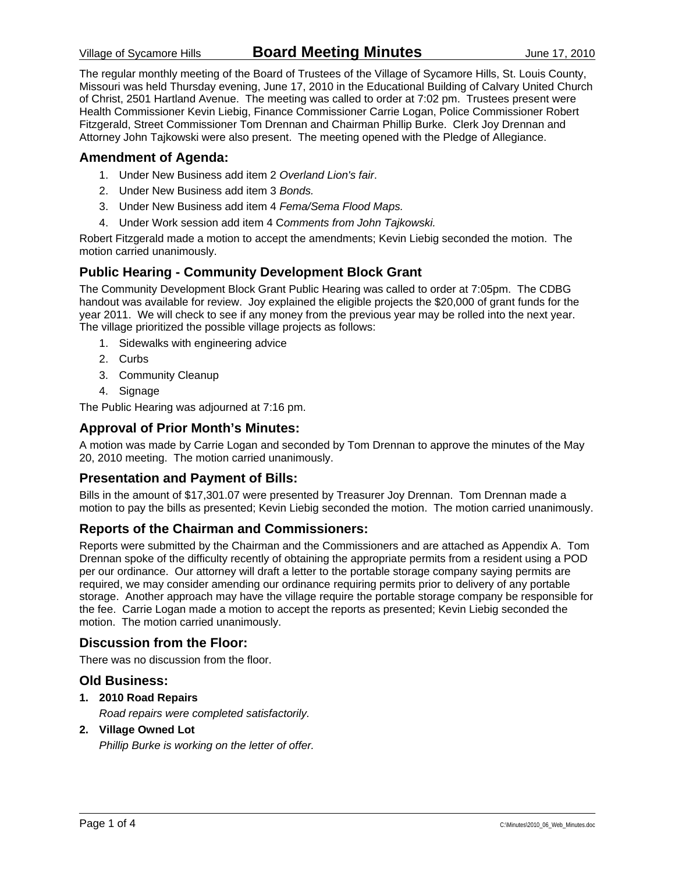The regular monthly meeting of the Board of Trustees of the Village of Sycamore Hills, St. Louis County, Missouri was held Thursday evening, June 17, 2010 in the Educational Building of Calvary United Church of Christ, 2501 Hartland Avenue. The meeting was called to order at 7:02 pm. Trustees present were Health Commissioner Kevin Liebig, Finance Commissioner Carrie Logan, Police Commissioner Robert Fitzgerald, Street Commissioner Tom Drennan and Chairman Phillip Burke. Clerk Joy Drennan and Attorney John Tajkowski were also present. The meeting opened with the Pledge of Allegiance.

#### **Amendment of Agenda:**

- 1. Under New Business add item 2 *Overland Lion's fair*.
- 2. Under New Business add item 3 *Bonds.*
- 3. Under New Business add item 4 *Fema/Sema Flood Maps.*
- 4. Under Work session add item 4 C*omments from John Tajkowski.*

Robert Fitzgerald made a motion to accept the amendments; Kevin Liebig seconded the motion. The motion carried unanimously.

#### **Public Hearing - Community Development Block Grant**

The Community Development Block Grant Public Hearing was called to order at 7:05pm. The CDBG handout was available for review. Joy explained the eligible projects the \$20,000 of grant funds for the year 2011. We will check to see if any money from the previous year may be rolled into the next year. The village prioritized the possible village projects as follows:

- 1. Sidewalks with engineering advice
- 2. Curbs
- 3. Community Cleanup
- 4. Signage

The Public Hearing was adjourned at 7:16 pm.

#### **Approval of Prior Month's Minutes:**

A motion was made by Carrie Logan and seconded by Tom Drennan to approve the minutes of the May 20, 2010 meeting. The motion carried unanimously.

#### **Presentation and Payment of Bills:**

Bills in the amount of \$17,301.07 were presented by Treasurer Joy Drennan. Tom Drennan made a motion to pay the bills as presented; Kevin Liebig seconded the motion. The motion carried unanimously.

#### **Reports of the Chairman and Commissioners:**

Reports were submitted by the Chairman and the Commissioners and are attached as Appendix A. Tom Drennan spoke of the difficulty recently of obtaining the appropriate permits from a resident using a POD per our ordinance. Our attorney will draft a letter to the portable storage company saying permits are required, we may consider amending our ordinance requiring permits prior to delivery of any portable storage. Another approach may have the village require the portable storage company be responsible for the fee. Carrie Logan made a motion to accept the reports as presented; Kevin Liebig seconded the motion. The motion carried unanimously.

#### **Discussion from the Floor:**

There was no discussion from the floor.

#### **Old Business:**

**1. 2010 Road Repairs** 

*Road repairs were completed satisfactorily.* 

#### **2. Village Owned Lot**

*Phillip Burke is working on the letter of offer.*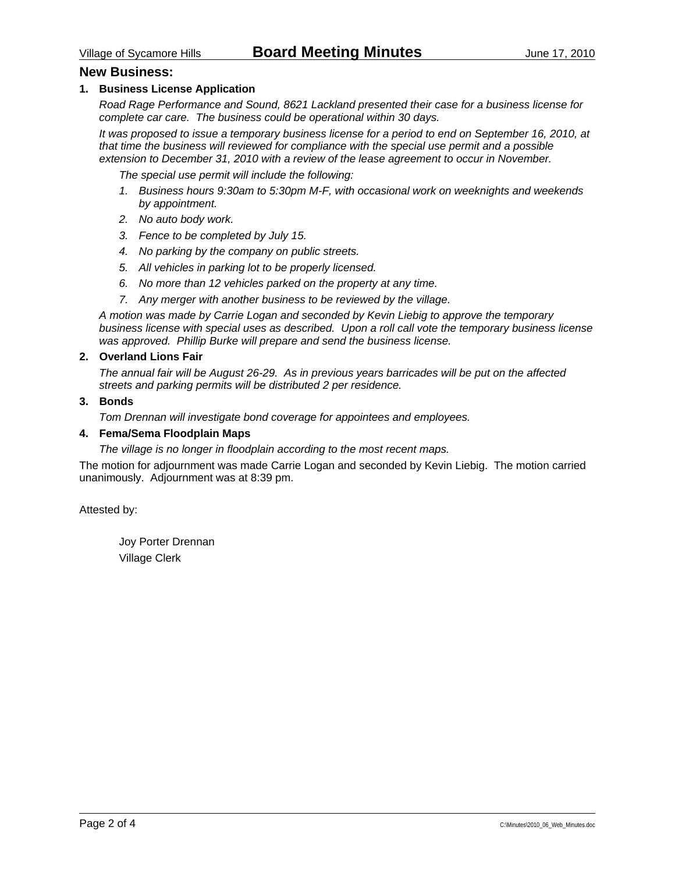#### **New Business:**

#### **1. Business License Application**

*Road Rage Performance and Sound, 8621 Lackland presented their case for a business license for complete car care. The business could be operational within 30 days.* 

*It was proposed to issue a temporary business license for a period to end on September 16, 2010, at that time the business will reviewed for compliance with the special use permit and a possible extension to December 31, 2010 with a review of the lease agreement to occur in November.* 

 *The special use permit will include the following:* 

- *1. Business hours 9:30am to 5:30pm M-F, with occasional work on weeknights and weekends by appointment.*
- *2. No auto body work.*
- *3. Fence to be completed by July 15.*
- *4. No parking by the company on public streets.*
- *5. All vehicles in parking lot to be properly licensed.*
- *6. No more than 12 vehicles parked on the property at any time.*
- *7. Any merger with another business to be reviewed by the village.*

*A motion was made by Carrie Logan and seconded by Kevin Liebig to approve the temporary business license with special uses as described. Upon a roll call vote the temporary business license was approved. Phillip Burke will prepare and send the business license.* 

#### **2. Overland Lions Fair**

*The annual fair will be August 26-29. As in previous years barricades will be put on the affected streets and parking permits will be distributed 2 per residence.* 

#### **3. Bonds**

*Tom Drennan will investigate bond coverage for appointees and employees.* 

#### **4. Fema/Sema Floodplain Maps**

*The village is no longer in floodplain according to the most recent maps.* 

The motion for adjournment was made Carrie Logan and seconded by Kevin Liebig. The motion carried unanimously. Adjournment was at 8:39 pm.

Attested by:

 Joy Porter Drennan Village Clerk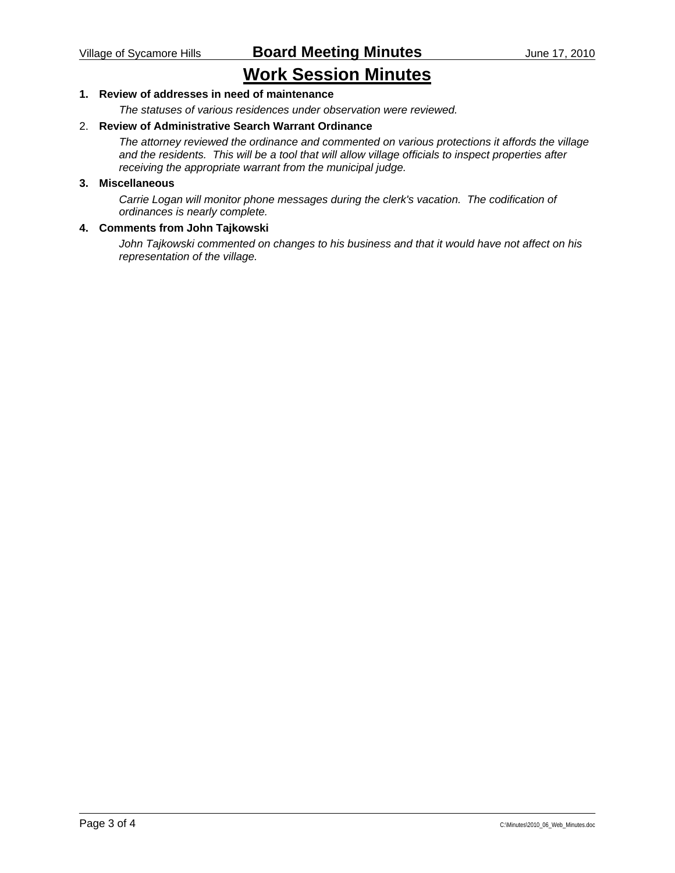## **Work Session Minutes**

#### **1. Review of addresses in need of maintenance**

*The statuses of various residences under observation were reviewed.* 

#### 2. **Review of Administrative Search Warrant Ordinance**

*The attorney reviewed the ordinance and commented on various protections it affords the village and the residents. This will be a tool that will allow village officials to inspect properties after receiving the appropriate warrant from the municipal judge.* 

#### **3. Miscellaneous**

*Carrie Logan will monitor phone messages during the clerk's vacation. The codification of ordinances is nearly complete.* 

#### **4. Comments from John Tajkowski**

*John Tajkowski commented on changes to his business and that it would have not affect on his representation of the village.*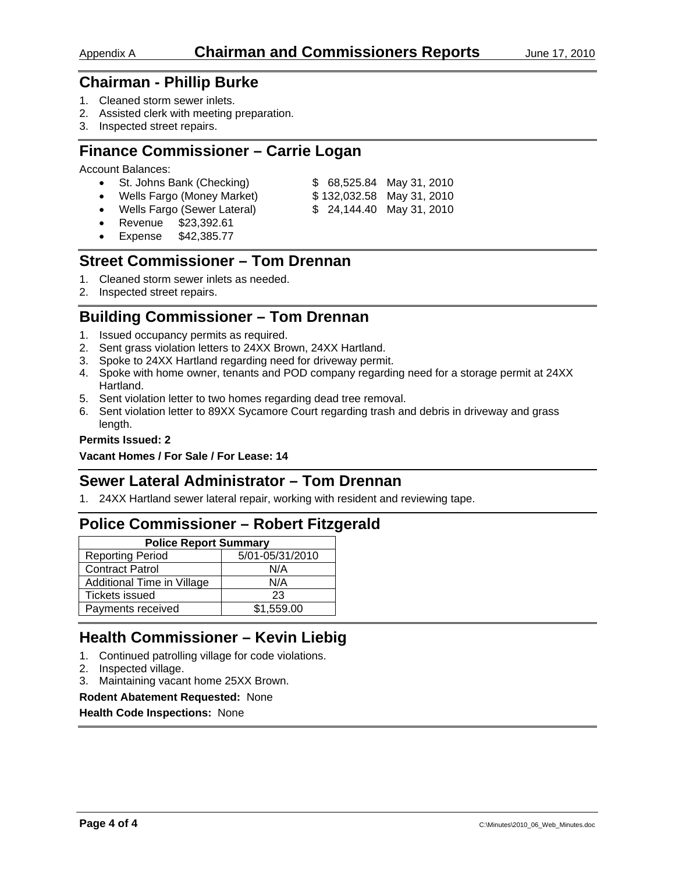- 1. Cleaned storm sewer inlets.
- 2. Assisted clerk with meeting preparation.
- 3. Inspected street repairs.

## **Finance Commissioner – Carrie Logan**

Account Balances:

- St. Johns Bank (Checking) \$ 68,525.84 May 31, 2010
- Wells Fargo (Money Market) \$ 132,032.58 May 31, 2010
	-
- Wells Fargo (Sewer Lateral) \$ 24,144.40 May 31, 2010
- Revenue \$23,392.61
- 
- 
- 
- Expense \$42,385.77

## **Street Commissioner – Tom Drennan**

- 1. Cleaned storm sewer inlets as needed.
- 2. Inspected street repairs.

## **Building Commissioner – Tom Drennan**

- 1. Issued occupancy permits as required.
- 2. Sent grass violation letters to 24XX Brown, 24XX Hartland.
- 3. Spoke to 24XX Hartland regarding need for driveway permit.
- 4. Spoke with home owner, tenants and POD company regarding need for a storage permit at 24XX Hartland.
- 5. Sent violation letter to two homes regarding dead tree removal.
- 6. Sent violation letter to 89XX Sycamore Court regarding trash and debris in driveway and grass length.

#### **Permits Issued: 2**

**Vacant Homes / For Sale / For Lease: 14** 

## **Sewer Lateral Administrator – Tom Drennan**

1. 24XX Hartland sewer lateral repair, working with resident and reviewing tape.

## **Police Commissioner – Robert Fitzgerald**

| <b>Police Report Summary</b> |                 |  |  |  |
|------------------------------|-----------------|--|--|--|
| <b>Reporting Period</b>      | 5/01-05/31/2010 |  |  |  |
| <b>Contract Patrol</b>       | N/A             |  |  |  |
| Additional Time in Village   | N/A             |  |  |  |
| <b>Tickets issued</b>        | 23              |  |  |  |
| Payments received            | \$1,559.00      |  |  |  |

## **Health Commissioner – Kevin Liebig**

- 1. Continued patrolling village for code violations.
- 2. Inspected village.
- 3. Maintaining vacant home 25XX Brown.

#### **Rodent Abatement Requested:** None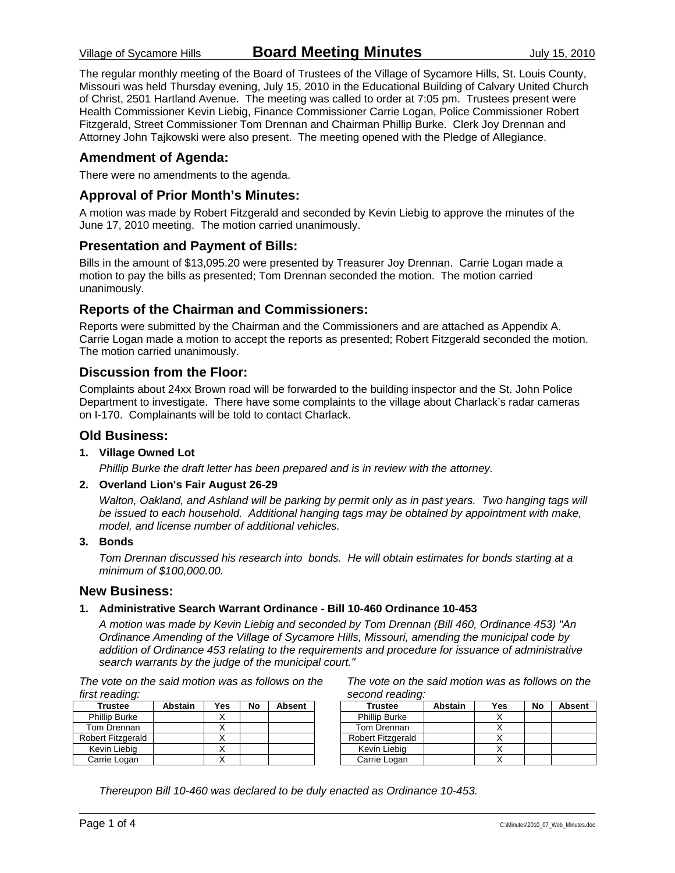The regular monthly meeting of the Board of Trustees of the Village of Sycamore Hills, St. Louis County, Missouri was held Thursday evening, July 15, 2010 in the Educational Building of Calvary United Church of Christ, 2501 Hartland Avenue. The meeting was called to order at 7:05 pm. Trustees present were Health Commissioner Kevin Liebig, Finance Commissioner Carrie Logan, Police Commissioner Robert Fitzgerald, Street Commissioner Tom Drennan and Chairman Phillip Burke. Clerk Joy Drennan and Attorney John Tajkowski were also present. The meeting opened with the Pledge of Allegiance.

#### **Amendment of Agenda:**

There were no amendments to the agenda.

#### **Approval of Prior Month's Minutes:**

A motion was made by Robert Fitzgerald and seconded by Kevin Liebig to approve the minutes of the June 17, 2010 meeting. The motion carried unanimously.

#### **Presentation and Payment of Bills:**

Bills in the amount of \$13,095.20 were presented by Treasurer Joy Drennan. Carrie Logan made a motion to pay the bills as presented; Tom Drennan seconded the motion. The motion carried unanimously.

#### **Reports of the Chairman and Commissioners:**

Reports were submitted by the Chairman and the Commissioners and are attached as Appendix A. Carrie Logan made a motion to accept the reports as presented; Robert Fitzgerald seconded the motion. The motion carried unanimously.

#### **Discussion from the Floor:**

Complaints about 24xx Brown road will be forwarded to the building inspector and the St. John Police Department to investigate. There have some complaints to the village about Charlack's radar cameras on I-170. Complainants will be told to contact Charlack.

#### **Old Business:**

#### **1. Village Owned Lot**

*Phillip Burke the draft letter has been prepared and is in review with the attorney.* 

#### **2. Overland Lion's Fair August 26-29**

*Walton, Oakland, and Ashland will be parking by permit only as in past years. Two hanging tags will be issued to each household. Additional hanging tags may be obtained by appointment with make, model, and license number of additional vehicles.* 

#### **3. Bonds**

*Tom Drennan discussed his research into bonds. He will obtain estimates for bonds starting at a minimum of \$100,000.00.* 

#### **New Business:**

#### **1. Administrative Search Warrant Ordinance - Bill 10-460 Ordinance 10-453**

*A motion was made by Kevin Liebig and seconded by Tom Drennan (Bill 460, Ordinance 453) "An Ordinance Amending of the Village of Sycamore Hills, Missouri, amending the municipal code by addition of Ordinance 453 relating to the requirements and procedure for issuance of administrative search warrants by the judge of the municipal court."* 

*The vote on the said motion was as follows on the first reading:* 

| <b>Trustee</b>       | <b>Abstain</b> | Yes | No | <b>Absent</b> |
|----------------------|----------------|-----|----|---------------|
| <b>Phillip Burke</b> |                |     |    |               |
| Tom Drennan          |                |     |    |               |
| Robert Fitzgerald    |                |     |    |               |
| Kevin Liebig         |                |     |    |               |
| Carrie Logan         |                |     |    |               |

*The vote on the said motion was as follows on the second reading:* 

| <b>Trustee</b>           | <b>Abstain</b> | Yes | No | <b>Absent</b> |
|--------------------------|----------------|-----|----|---------------|
| <b>Phillip Burke</b>     |                |     |    |               |
| Tom Drennan              |                |     |    |               |
| <b>Robert Fitzgerald</b> |                |     |    |               |
| Kevin Liebig             |                |     |    |               |
| Carrie Logan             |                |     |    |               |

*Thereupon Bill 10-460 was declared to be duly enacted as Ordinance 10-453.*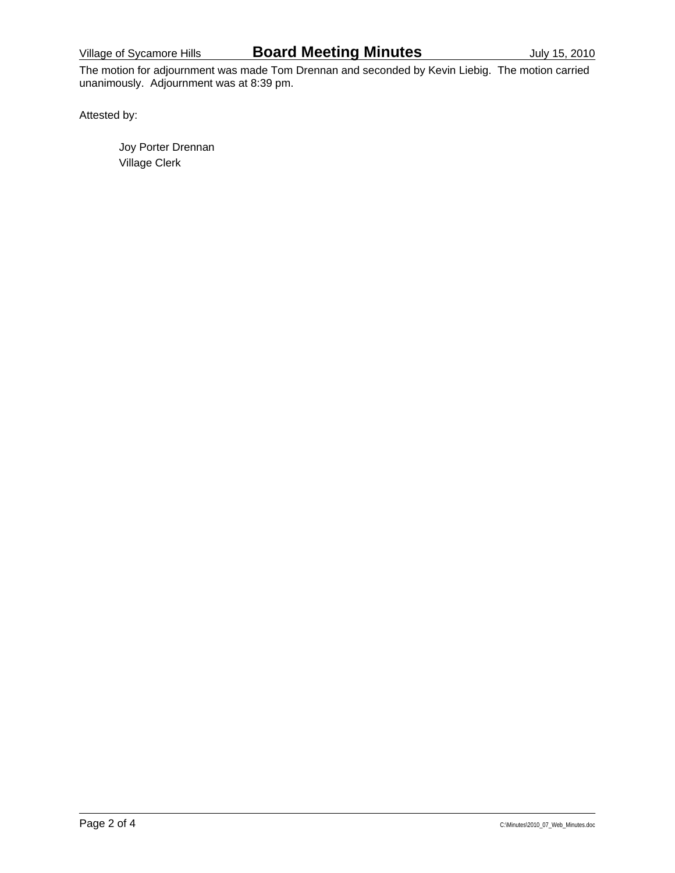The motion for adjournment was made Tom Drennan and seconded by Kevin Liebig. The motion carried unanimously. Adjournment was at 8:39 pm.

Attested by:

 Joy Porter Drennan Village Clerk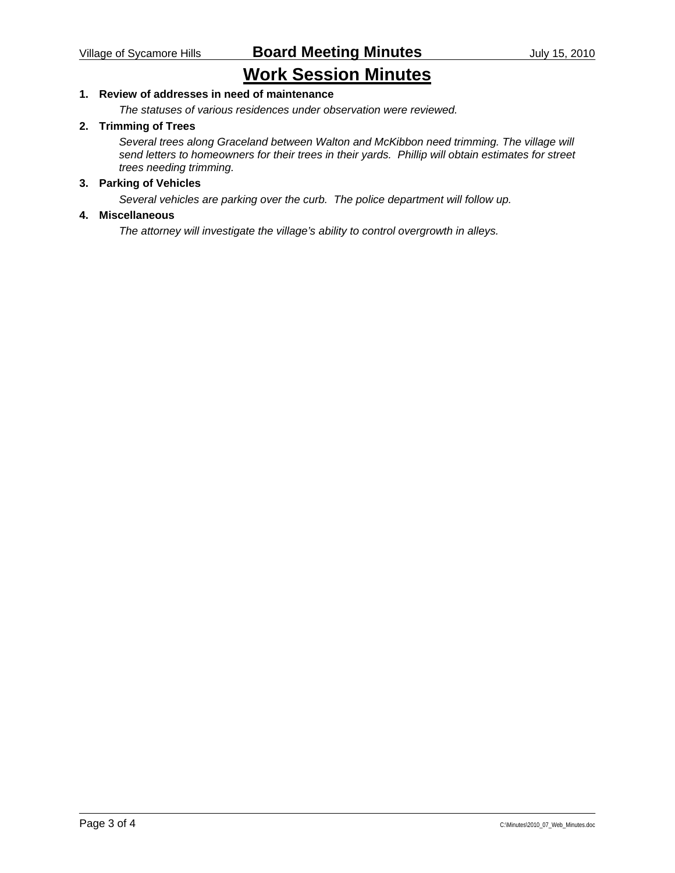## **Work Session Minutes**

#### **1. Review of addresses in need of maintenance**

*The statuses of various residences under observation were reviewed.* 

#### **2. Trimming of Trees**

*Several trees along Graceland between Walton and McKibbon need trimming. The village will send letters to homeowners for their trees in their yards. Phillip will obtain estimates for street trees needing trimming.* 

#### **3. Parking of Vehicles**

*Several vehicles are parking over the curb. The police department will follow up.* 

#### **4. Miscellaneous**

*The attorney will investigate the village's ability to control overgrowth in alleys.*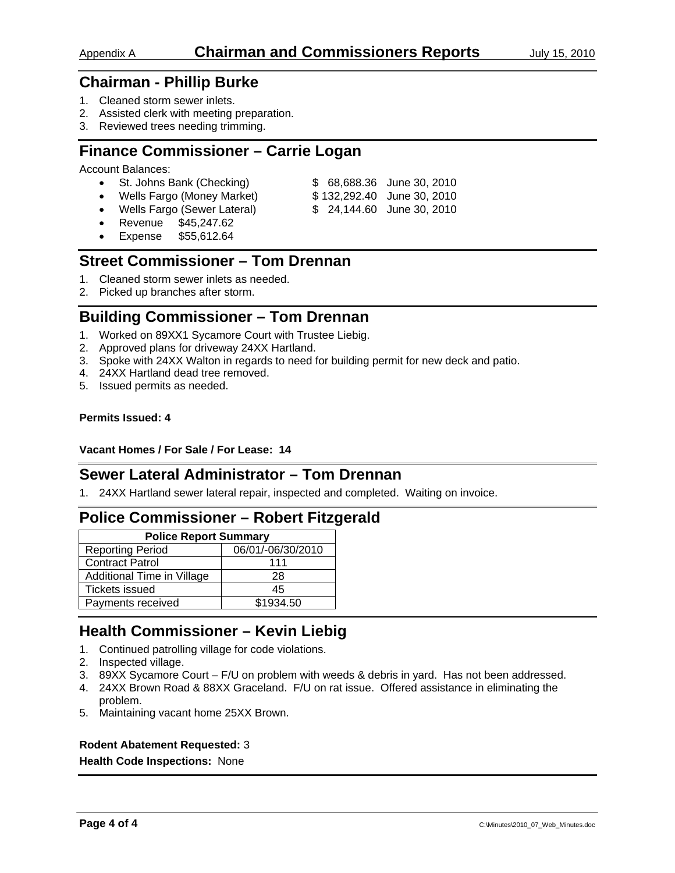- 1. Cleaned storm sewer inlets.
- 2. Assisted clerk with meeting preparation.
- 3. Reviewed trees needing trimming.

## **Finance Commissioner – Carrie Logan**

Account Balances:

- St. Johns Bank (Checking) \$ 68,688.36 June 30, 2010
- Wells Fargo (Money Market) \$ 132,292.40 June 30, 2010
- 
- Wells Fargo (Sewer Lateral) \$ 24,144.60 June 30, 2010
- Revenue \$45,247.62
- Expense \$55,612.64

## **Street Commissioner – Tom Drennan**

- 1. Cleaned storm sewer inlets as needed.
- 2. Picked up branches after storm.

## **Building Commissioner – Tom Drennan**

- 1. Worked on 89XX1 Sycamore Court with Trustee Liebig.
- 2. Approved plans for driveway 24XX Hartland.
- 3. Spoke with 24XX Walton in regards to need for building permit for new deck and patio.
- 4. 24XX Hartland dead tree removed.
- 5. Issued permits as needed.

#### **Permits Issued: 4**

#### **Vacant Homes / For Sale / For Lease: 14**

## **Sewer Lateral Administrator – Tom Drennan**

1. 24XX Hartland sewer lateral repair, inspected and completed. Waiting on invoice.

## **Police Commissioner – Robert Fitzgerald**

| <b>Police Report Summary</b> |                   |  |  |
|------------------------------|-------------------|--|--|
| <b>Reporting Period</b>      | 06/01/-06/30/2010 |  |  |
| Contract Patrol              | 111               |  |  |
| Additional Time in Village   | 28                |  |  |
| <b>Tickets issued</b>        | 45                |  |  |
| Payments received            | \$1934.50         |  |  |

## **Health Commissioner – Kevin Liebig**

- 1. Continued patrolling village for code violations.
- 2. Inspected village.
- 3. 89XX Sycamore Court F/U on problem with weeds & debris in yard. Has not been addressed.
- 4. 24XX Brown Road & 88XX Graceland. F/U on rat issue. Offered assistance in eliminating the problem.
- 5. Maintaining vacant home 25XX Brown.

#### **Rodent Abatement Requested:** 3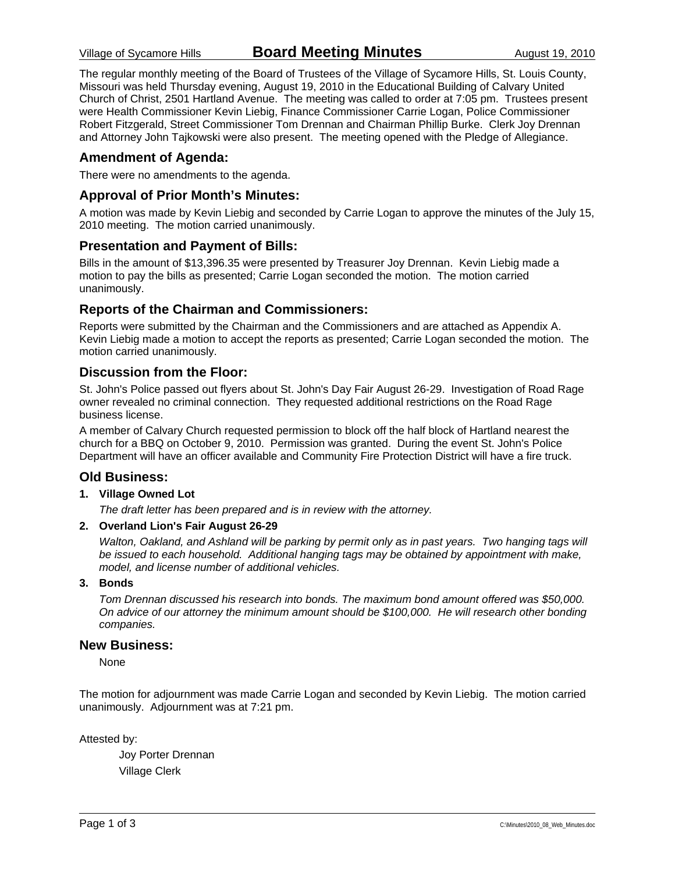The regular monthly meeting of the Board of Trustees of the Village of Sycamore Hills, St. Louis County, Missouri was held Thursday evening, August 19, 2010 in the Educational Building of Calvary United Church of Christ, 2501 Hartland Avenue. The meeting was called to order at 7:05 pm. Trustees present were Health Commissioner Kevin Liebig, Finance Commissioner Carrie Logan, Police Commissioner Robert Fitzgerald, Street Commissioner Tom Drennan and Chairman Phillip Burke. Clerk Joy Drennan and Attorney John Tajkowski were also present. The meeting opened with the Pledge of Allegiance.

#### **Amendment of Agenda:**

There were no amendments to the agenda.

#### **Approval of Prior Month's Minutes:**

A motion was made by Kevin Liebig and seconded by Carrie Logan to approve the minutes of the July 15, 2010 meeting. The motion carried unanimously.

#### **Presentation and Payment of Bills:**

Bills in the amount of \$13,396.35 were presented by Treasurer Joy Drennan. Kevin Liebig made a motion to pay the bills as presented; Carrie Logan seconded the motion. The motion carried unanimously.

#### **Reports of the Chairman and Commissioners:**

Reports were submitted by the Chairman and the Commissioners and are attached as Appendix A. Kevin Liebig made a motion to accept the reports as presented; Carrie Logan seconded the motion. The motion carried unanimously.

#### **Discussion from the Floor:**

St. John's Police passed out flyers about St. John's Day Fair August 26-29. Investigation of Road Rage owner revealed no criminal connection. They requested additional restrictions on the Road Rage business license.

A member of Calvary Church requested permission to block off the half block of Hartland nearest the church for a BBQ on October 9, 2010. Permission was granted. During the event St. John's Police Department will have an officer available and Community Fire Protection District will have a fire truck.

#### **Old Business:**

#### **1. Village Owned Lot**

*The draft letter has been prepared and is in review with the attorney.* 

#### **2. Overland Lion's Fair August 26-29**

*Walton, Oakland, and Ashland will be parking by permit only as in past years. Two hanging tags will be issued to each household. Additional hanging tags may be obtained by appointment with make, model, and license number of additional vehicles.* 

#### **3. Bonds**

*Tom Drennan discussed his research into bonds. The maximum bond amount offered was \$50,000. On advice of our attorney the minimum amount should be \$100,000. He will research other bonding companies.* 

#### **New Business:**

None

The motion for adjournment was made Carrie Logan and seconded by Kevin Liebig. The motion carried unanimously. Adjournment was at 7:21 pm.

Attested by:

 Joy Porter Drennan Village Clerk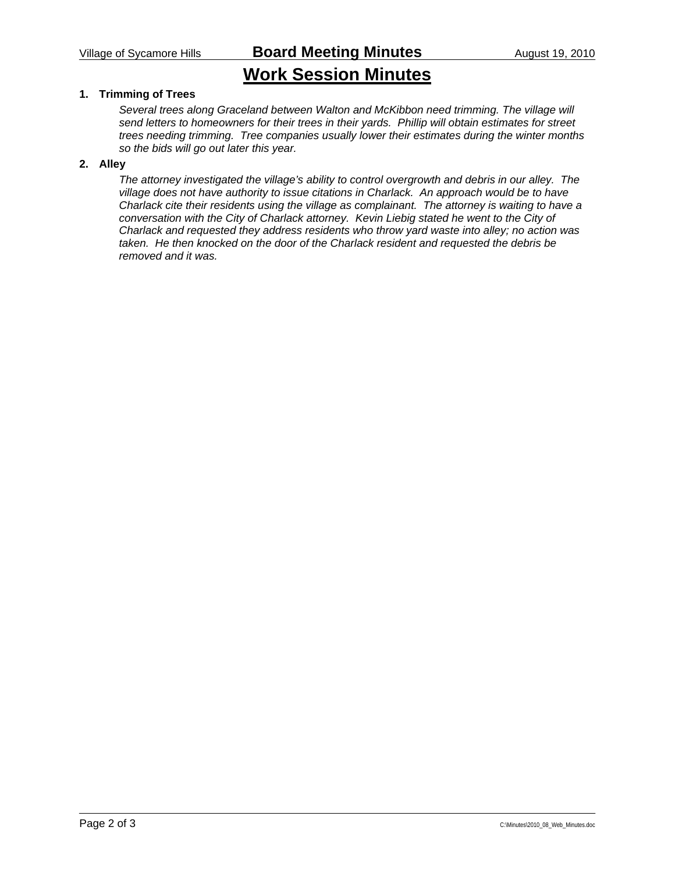## **Work Session Minutes**

#### **1. Trimming of Trees**

*Several trees along Graceland between Walton and McKibbon need trimming. The village will send letters to homeowners for their trees in their yards. Phillip will obtain estimates for street trees needing trimming. Tree companies usually lower their estimates during the winter months so the bids will go out later this year.* 

#### **2. Alley**

*The attorney investigated the village's ability to control overgrowth and debris in our alley. The village does not have authority to issue citations in Charlack. An approach would be to have Charlack cite their residents using the village as complainant. The attorney is waiting to have a*  conversation with the City of Charlack attorney. Kevin Liebig stated he went to the City of *Charlack and requested they address residents who throw yard waste into alley; no action was taken. He then knocked on the door of the Charlack resident and requested the debris be removed and it was.*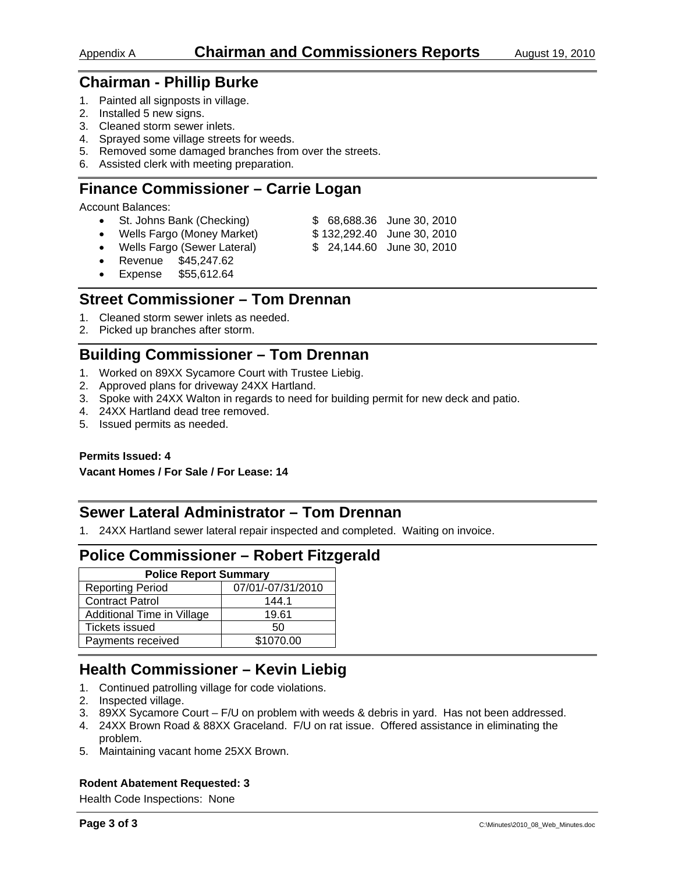- 1. Painted all signposts in village.
- 2. Installed 5 new signs.
- 3. Cleaned storm sewer inlets.
- 4. Sprayed some village streets for weeds.
- 5. Removed some damaged branches from over the streets.
- 6. Assisted clerk with meeting preparation.

## **Finance Commissioner – Carrie Logan**

Account Balances:

- St. Johns Bank (Checking) \$ 68,688.36 June 30, 2010
- Wells Fargo (Money Market) \$ 132,292.40 June 30, 2010
	-
	- Wells Fargo (Sewer Lateral) \$ 24,144.60 June 30, 2010
- Revenue \$45,247.62
- Expense \$55,612.64

## **Street Commissioner – Tom Drennan**

- 1. Cleaned storm sewer inlets as needed.
- 2. Picked up branches after storm.

## **Building Commissioner – Tom Drennan**

- 1. Worked on 89XX Sycamore Court with Trustee Liebig.
- 2. Approved plans for driveway 24XX Hartland.
- 3. Spoke with 24XX Walton in regards to need for building permit for new deck and patio.
- 4. 24XX Hartland dead tree removed.
- 5. Issued permits as needed.

**Permits Issued: 4** 

**Vacant Homes / For Sale / For Lease: 14** 

## **Sewer Lateral Administrator – Tom Drennan**

1. 24XX Hartland sewer lateral repair inspected and completed. Waiting on invoice.

## **Police Commissioner – Robert Fitzgerald**

| <b>Police Report Summary</b> |                   |  |  |  |
|------------------------------|-------------------|--|--|--|
| <b>Reporting Period</b>      | 07/01/-07/31/2010 |  |  |  |
| <b>Contract Patrol</b>       | 144.1             |  |  |  |
| Additional Time in Village   | 19.61             |  |  |  |
| <b>Tickets issued</b>        | 50                |  |  |  |
| Payments received            | \$1070.00         |  |  |  |

## **Health Commissioner – Kevin Liebig**

- 1. Continued patrolling village for code violations.
- 2. Inspected village.
- 3. 89XX Sycamore Court F/U on problem with weeds & debris in yard. Has not been addressed.
- 4. 24XX Brown Road & 88XX Graceland. F/U on rat issue. Offered assistance in eliminating the problem.
- 5. Maintaining vacant home 25XX Brown.

#### **Rodent Abatement Requested: 3**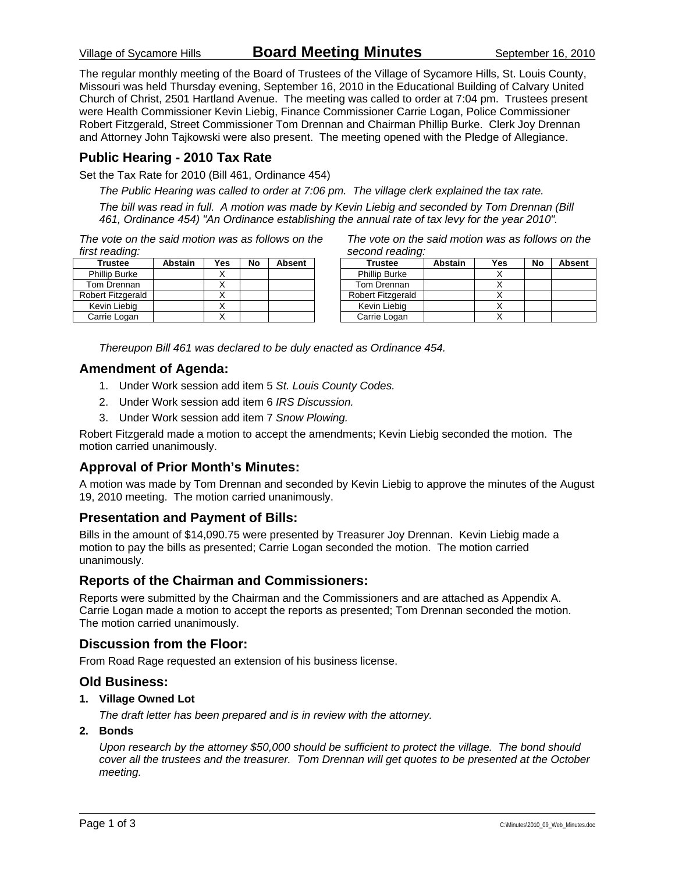Village of Sycamore Hills **Board Meeting Minutes** September 16, 2010

The regular monthly meeting of the Board of Trustees of the Village of Sycamore Hills, St. Louis County, Missouri was held Thursday evening, September 16, 2010 in the Educational Building of Calvary United Church of Christ, 2501 Hartland Avenue. The meeting was called to order at 7:04 pm. Trustees present were Health Commissioner Kevin Liebig, Finance Commissioner Carrie Logan, Police Commissioner Robert Fitzgerald, Street Commissioner Tom Drennan and Chairman Phillip Burke. Clerk Joy Drennan and Attorney John Tajkowski were also present. The meeting opened with the Pledge of Allegiance.

#### **Public Hearing - 2010 Tax Rate**

Set the Tax Rate for 2010 (Bill 461, Ordinance 454)

*The Public Hearing was called to order at 7:06 pm. The village clerk explained the tax rate.* 

*The bill was read in full. A motion was made by Kevin Liebig and seconded by Tom Drennan (Bill 461, Ordinance 454) "An Ordinance establishing the annual rate of tax levy for the year 2010".* 

*The vote on the said motion was as follows on the first reading:* 

| <b>Trustee</b>       | <b>Abstain</b> | Yes | No | Absent |
|----------------------|----------------|-----|----|--------|
| <b>Phillip Burke</b> |                |     |    |        |
| Tom Drennan          |                |     |    |        |
| Robert Fitzgerald    |                |     |    |        |
| Kevin Liebig         |                |     |    |        |
| Carrie Logan         |                |     |    |        |

*The vote on the said motion was as follows on the second reading:* 

| <b>Trustee</b>       | <b>Abstain</b> | Yes | No | <b>Absent</b> |
|----------------------|----------------|-----|----|---------------|
| <b>Phillip Burke</b> |                |     |    |               |
| Tom Drennan          |                |     |    |               |
| Robert Fitzgerald    |                |     |    |               |
| Kevin Liebig         |                |     |    |               |
| Carrie Logan         |                |     |    |               |

*Thereupon Bill 461 was declared to be duly enacted as Ordinance 454.* 

#### **Amendment of Agenda:**

- 1. Under Work session add item 5 *St. Louis County Codes.*
- 2. Under Work session add item 6 *IRS Discussion.*
- 3. Under Work session add item 7 *Snow Plowing.*

Robert Fitzgerald made a motion to accept the amendments; Kevin Liebig seconded the motion. The motion carried unanimously.

### **Approval of Prior Month's Minutes:**

A motion was made by Tom Drennan and seconded by Kevin Liebig to approve the minutes of the August 19, 2010 meeting. The motion carried unanimously.

#### **Presentation and Payment of Bills:**

Bills in the amount of \$14,090.75 were presented by Treasurer Joy Drennan. Kevin Liebig made a motion to pay the bills as presented; Carrie Logan seconded the motion. The motion carried unanimously.

#### **Reports of the Chairman and Commissioners:**

Reports were submitted by the Chairman and the Commissioners and are attached as Appendix A. Carrie Logan made a motion to accept the reports as presented; Tom Drennan seconded the motion. The motion carried unanimously.

#### **Discussion from the Floor:**

From Road Rage requested an extension of his business license.

#### **Old Business:**

**1. Village Owned Lot** 

*The draft letter has been prepared and is in review with the attorney.* 

**2. Bonds** 

*Upon research by the attorney \$50,000 should be sufficient to protect the village. The bond should cover all the trustees and the treasurer. Tom Drennan will get quotes to be presented at the October meeting.*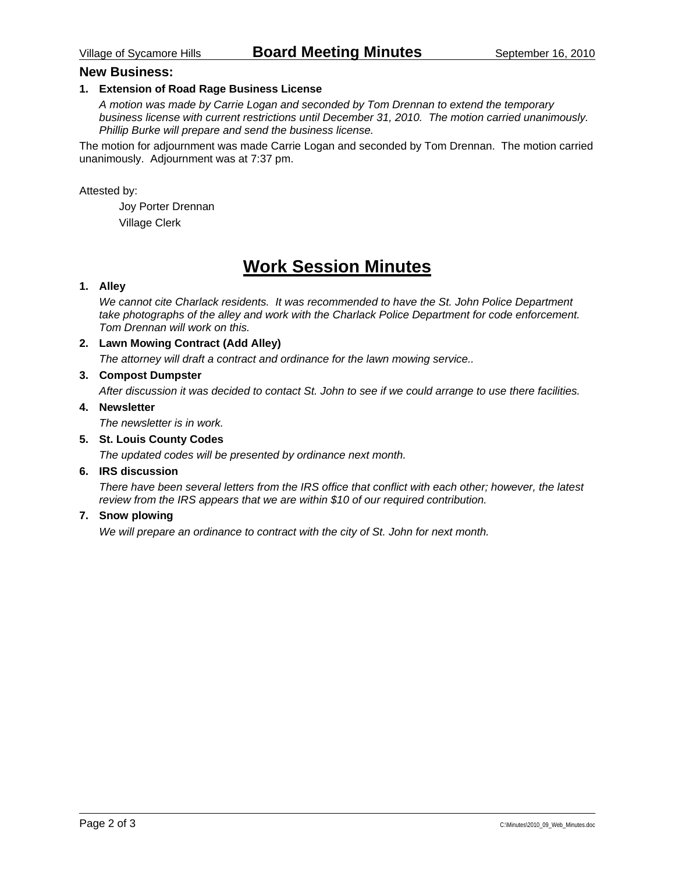#### **New Business:**

#### **1. Extension of Road Rage Business License**

*A motion was made by Carrie Logan and seconded by Tom Drennan to extend the temporary business license with current restrictions until December 31, 2010. The motion carried unanimously. Phillip Burke will prepare and send the business license.* 

The motion for adjournment was made Carrie Logan and seconded by Tom Drennan. The motion carried unanimously. Adjournment was at 7:37 pm.

Attested by:

 Joy Porter Drennan Village Clerk

## **Work Session Minutes**

#### **1. Alley**

*We cannot cite Charlack residents. It was recommended to have the St. John Police Department take photographs of the alley and work with the Charlack Police Department for code enforcement. Tom Drennan will work on this.* 

#### **2. Lawn Mowing Contract (Add Alley)**

*The attorney will draft a contract and ordinance for the lawn mowing service..* 

#### **3. Compost Dumpster**

*After discussion it was decided to contact St. John to see if we could arrange to use there facilities.* 

#### **4. Newsletter**

*The newsletter is in work.* 

#### **5. St. Louis County Codes**

*The updated codes will be presented by ordinance next month.* 

#### **6. IRS discussion**

*There have been several letters from the IRS office that conflict with each other; however, the latest review from the IRS appears that we are within \$10 of our required contribution.* 

#### **7. Snow plowing**

*We will prepare an ordinance to contract with the city of St. John for next month.*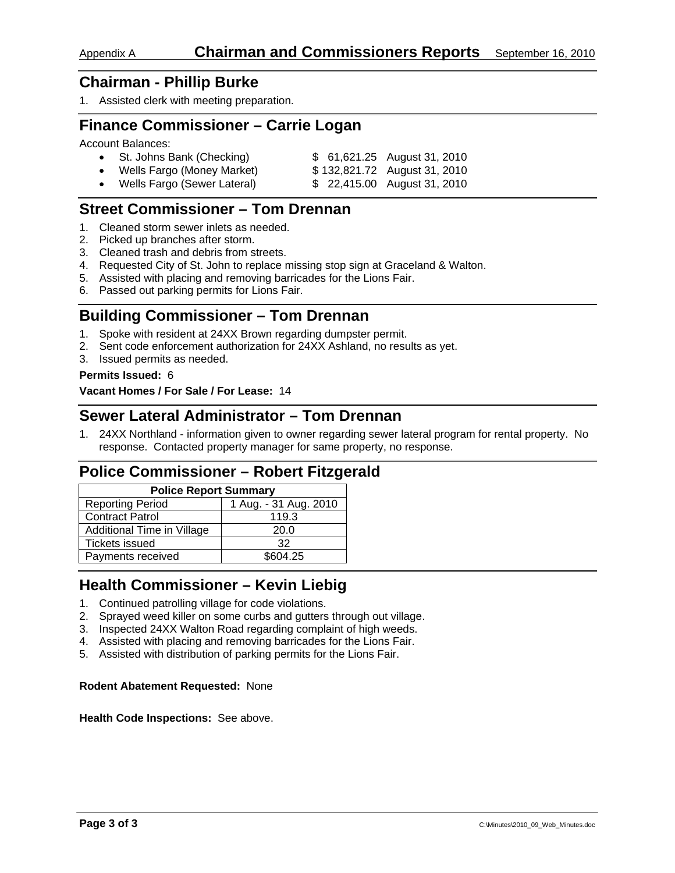1. Assisted clerk with meeting preparation.

### **Finance Commissioner – Carrie Logan**

Account Balances:

| • St. Johns Bank (Checking)   | \$ 61,621.25 August 31, 2010 |
|-------------------------------|------------------------------|
| • Wells Fargo (Money Market)  | \$132,821.72 August 31, 2010 |
| • Wells Fargo (Sewer Lateral) | \$ 22,415.00 August 31, 2010 |

## **Street Commissioner – Tom Drennan**

- 1. Cleaned storm sewer inlets as needed.
- 2. Picked up branches after storm.
- 3. Cleaned trash and debris from streets.
- 4. Requested City of St. John to replace missing stop sign at Graceland & Walton.
- 5. Assisted with placing and removing barricades for the Lions Fair.
- 6. Passed out parking permits for Lions Fair.

## **Building Commissioner – Tom Drennan**

- 1. Spoke with resident at 24XX Brown regarding dumpster permit.
- 2. Sent code enforcement authorization for 24XX Ashland, no results as yet.
- 3. Issued permits as needed.

#### **Permits Issued:** 6

**Vacant Homes / For Sale / For Lease:** 14

### **Sewer Lateral Administrator – Tom Drennan**

1. 24XX Northland - information given to owner regarding sewer lateral program for rental property. No response. Contacted property manager for same property, no response.

## **Police Commissioner – Robert Fitzgerald**

| <b>Police Report Summary</b> |                       |  |  |  |
|------------------------------|-----------------------|--|--|--|
| <b>Reporting Period</b>      | 1 Aug. - 31 Aug. 2010 |  |  |  |
| <b>Contract Patrol</b>       | 119.3                 |  |  |  |
| Additional Time in Village   | 20.0                  |  |  |  |
| <b>Tickets issued</b>        | 32                    |  |  |  |
| Payments received            | \$604.25              |  |  |  |

## **Health Commissioner – Kevin Liebig**

- 1. Continued patrolling village for code violations.
- 2. Sprayed weed killer on some curbs and gutters through out village.
- 3. Inspected 24XX Walton Road regarding complaint of high weeds.
- 4. Assisted with placing and removing barricades for the Lions Fair.
- 5. Assisted with distribution of parking permits for the Lions Fair.

#### **Rodent Abatement Requested:** None

**Health Code Inspections:** See above.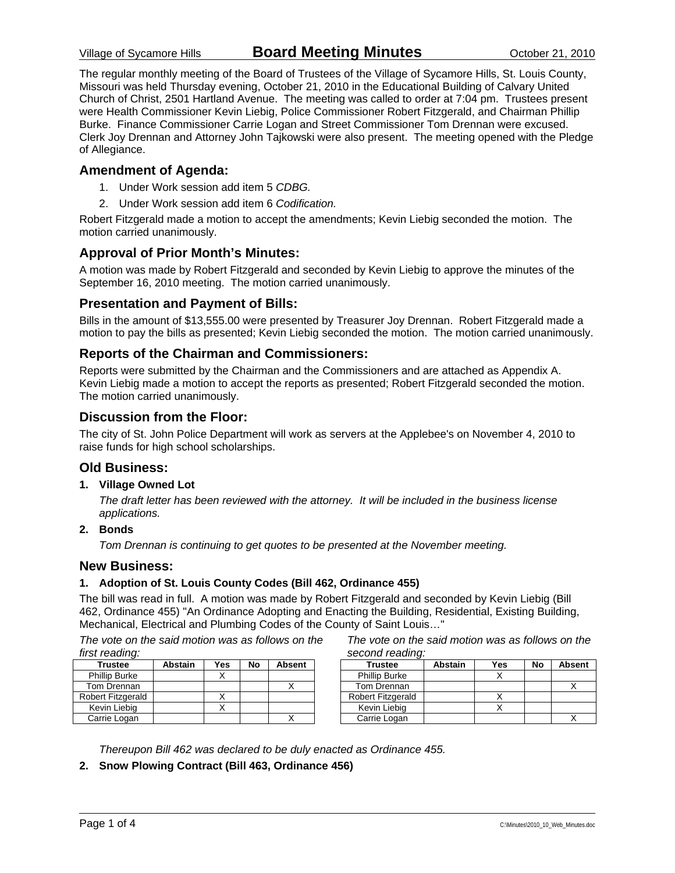The regular monthly meeting of the Board of Trustees of the Village of Sycamore Hills, St. Louis County, Missouri was held Thursday evening, October 21, 2010 in the Educational Building of Calvary United Church of Christ, 2501 Hartland Avenue. The meeting was called to order at 7:04 pm. Trustees present were Health Commissioner Kevin Liebig, Police Commissioner Robert Fitzgerald, and Chairman Phillip Burke. Finance Commissioner Carrie Logan and Street Commissioner Tom Drennan were excused. Clerk Joy Drennan and Attorney John Tajkowski were also present. The meeting opened with the Pledge of Allegiance.

#### **Amendment of Agenda:**

- 1. Under Work session add item 5 *CDBG.*
- 2. Under Work session add item 6 *Codification.*

Robert Fitzgerald made a motion to accept the amendments; Kevin Liebig seconded the motion. The motion carried unanimously.

#### **Approval of Prior Month's Minutes:**

A motion was made by Robert Fitzgerald and seconded by Kevin Liebig to approve the minutes of the September 16, 2010 meeting. The motion carried unanimously.

#### **Presentation and Payment of Bills:**

Bills in the amount of \$13,555.00 were presented by Treasurer Joy Drennan. Robert Fitzgerald made a motion to pay the bills as presented; Kevin Liebig seconded the motion. The motion carried unanimously.

#### **Reports of the Chairman and Commissioners:**

Reports were submitted by the Chairman and the Commissioners and are attached as Appendix A. Kevin Liebig made a motion to accept the reports as presented; Robert Fitzgerald seconded the motion. The motion carried unanimously.

#### **Discussion from the Floor:**

The city of St. John Police Department will work as servers at the Applebee's on November 4, 2010 to raise funds for high school scholarships.

#### **Old Business:**

#### **1. Village Owned Lot**

*The draft letter has been reviewed with the attorney. It will be included in the business license applications.* 

#### **2. Bonds**

*Tom Drennan is continuing to get quotes to be presented at the November meeting.* 

#### **New Business:**

#### **1. Adoption of St. Louis County Codes (Bill 462, Ordinance 455)**

The bill was read in full. A motion was made by Robert Fitzgerald and seconded by Kevin Liebig (Bill 462, Ordinance 455) "An Ordinance Adopting and Enacting the Building, Residential, Existing Building, Mechanical, Electrical and Plumbing Codes of the County of Saint Louis…"

*The vote on the said motion was as follows on the first reading:* 

| <b>Trustee</b>       | <b>Abstain</b> | Yes | No | <b>Absent</b> |
|----------------------|----------------|-----|----|---------------|
| <b>Phillip Burke</b> |                |     |    |               |
| Tom Drennan          |                |     |    |               |
| Robert Fitzgerald    |                |     |    |               |
| Kevin Liebig         |                |     |    |               |
| Carrie Logan         |                |     |    |               |

*The vote on the said motion was as follows on the second reading:* 

| <b>Trustee</b>           | Abstain | Yes | No | <b>Absent</b> |
|--------------------------|---------|-----|----|---------------|
| <b>Phillip Burke</b>     |         |     |    |               |
| Tom Drennan              |         |     |    |               |
| <b>Robert Fitzgerald</b> |         |     |    |               |
| Kevin Liebig             |         |     |    |               |
| Carrie Logan             |         |     |    |               |

*Thereupon Bill 462 was declared to be duly enacted as Ordinance 455.* 

**2. Snow Plowing Contract (Bill 463, Ordinance 456)**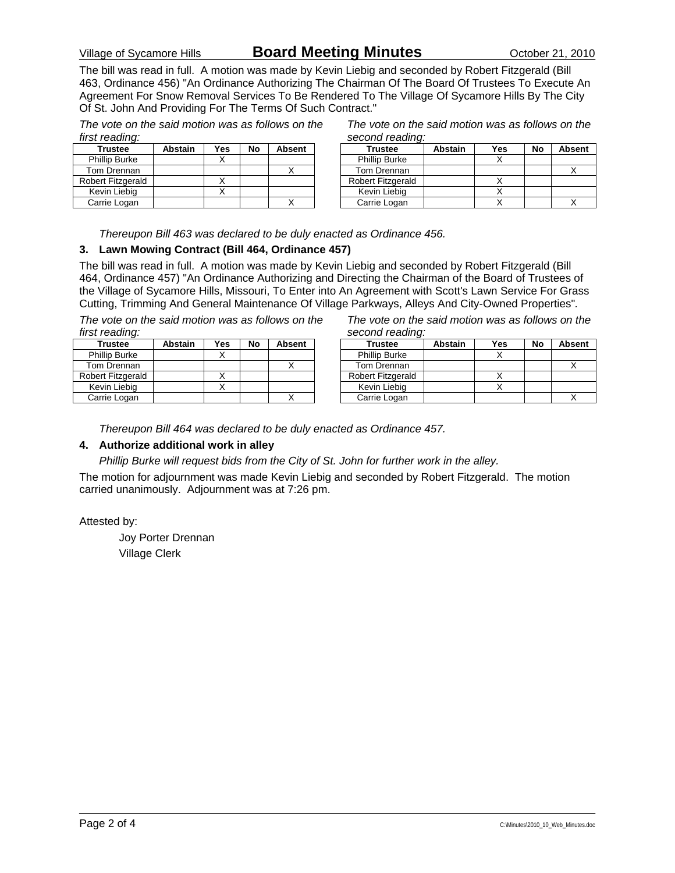### Village of Sycamore Hills **Board Meeting Minutes** October 21, 2010

The bill was read in full. A motion was made by Kevin Liebig and seconded by Robert Fitzgerald (Bill 463, Ordinance 456) "An Ordinance Authorizing The Chairman Of The Board Of Trustees To Execute An Agreement For Snow Removal Services To Be Rendered To The Village Of Sycamore Hills By The City Of St. John And Providing For The Terms Of Such Contract."

*The vote on the said motion was as follows on the first reading:* 

| <b>Trustee</b>       | <b>Abstain</b> | Yes | No | <b>Absent</b> |
|----------------------|----------------|-----|----|---------------|
| <b>Phillip Burke</b> |                |     |    |               |
| Tom Drennan          |                |     |    |               |
| Robert Fitzgerald    |                |     |    |               |
| Kevin Liebig         |                |     |    |               |
| Carrie Logan         |                |     |    |               |

| The vote on the said motion was as follows on the |
|---------------------------------------------------|
| second reading:                                   |

| <b>Trustee</b>       | <b>Abstain</b> | Yes | No | <b>Absent</b> |
|----------------------|----------------|-----|----|---------------|
| <b>Phillip Burke</b> |                |     |    |               |
| Tom Drennan          |                |     |    |               |
| Robert Fitzgerald    |                |     |    |               |
| Kevin Liebig         |                |     |    |               |
| Carrie Logan         |                |     |    |               |

*Thereupon Bill 463 was declared to be duly enacted as Ordinance 456.* 

#### **3. Lawn Mowing Contract (Bill 464, Ordinance 457)**

The bill was read in full. A motion was made by Kevin Liebig and seconded by Robert Fitzgerald (Bill 464, Ordinance 457) "An Ordinance Authorizing and Directing the Chairman of the Board of Trustees of the Village of Sycamore Hills, Missouri, To Enter into An Agreement with Scott's Lawn Service For Grass Cutting, Trimming And General Maintenance Of Village Parkways, Alleys And City-Owned Properties"*.* 

*The vote on the said motion was as follows on the first reading:* 

| <i>ilist readiliy.</i> |                |     |    |               |
|------------------------|----------------|-----|----|---------------|
| <b>Trustee</b>         | <b>Abstain</b> | Yes | No | <b>Absent</b> |
| <b>Phillip Burke</b>   |                |     |    |               |
| Tom Drennan            |                |     |    |               |
| Robert Fitzgerald      |                |     |    |               |
| Kevin Liebig           |                |     |    |               |
| Carrie Logan           |                |     |    |               |

*The vote on the said motion was as follows on the second reading:* 

| <b>Trustee</b>           | Abstain | <b>Yes</b> | No | <b>Absent</b> |
|--------------------------|---------|------------|----|---------------|
| <b>Phillip Burke</b>     |         |            |    |               |
| Tom Drennan              |         |            |    |               |
| <b>Robert Fitzgerald</b> |         |            |    |               |
| Kevin Liebig             |         |            |    |               |
| Carrie Logan             |         |            |    |               |

*Thereupon Bill 464 was declared to be duly enacted as Ordinance 457.* 

#### **4. Authorize additional work in alley**

*Phillip Burke will request bids from the City of St. John for further work in the alley.* 

The motion for adjournment was made Kevin Liebig and seconded by Robert Fitzgerald. The motion carried unanimously. Adjournment was at 7:26 pm.

Attested by:

 Joy Porter Drennan Village Clerk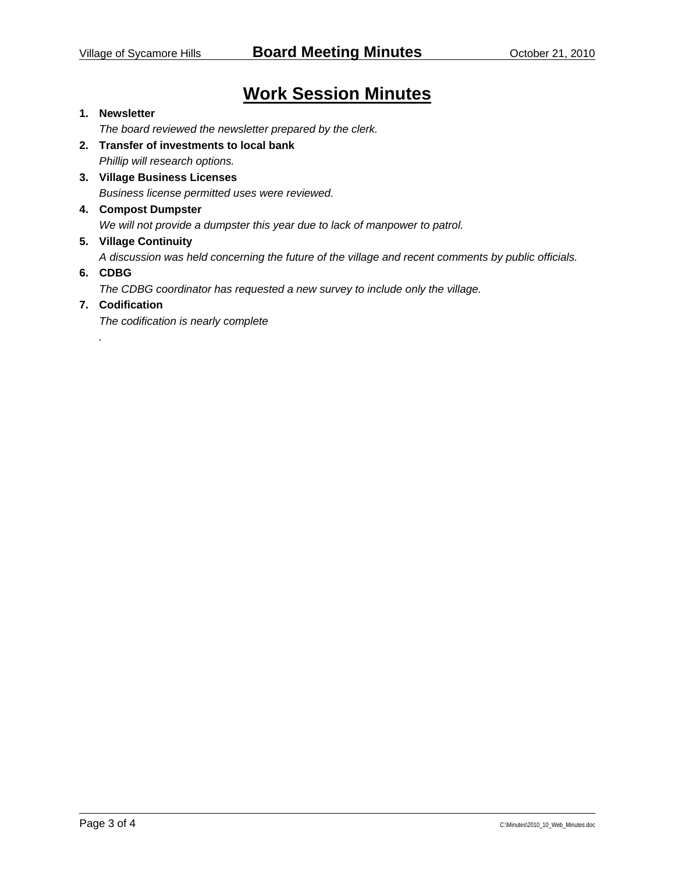## **Work Session Minutes**

#### **1. Newsletter**

*The board reviewed the newsletter prepared by the clerk.* 

- **2. Transfer of investments to local bank**  *Phillip will research options.*
- **3. Village Business Licenses**  *Business license permitted uses were reviewed.*

#### **4. Compost Dumpster**

*We will not provide a dumpster this year due to lack of manpower to patrol.* 

#### **5. Village Continuity**

*A discussion was held concerning the future of the village and recent comments by public officials.* 

#### **6. CDBG**

*.* 

*The CDBG coordinator has requested a new survey to include only the village.* 

#### **7. Codification**

*The codification is nearly complete*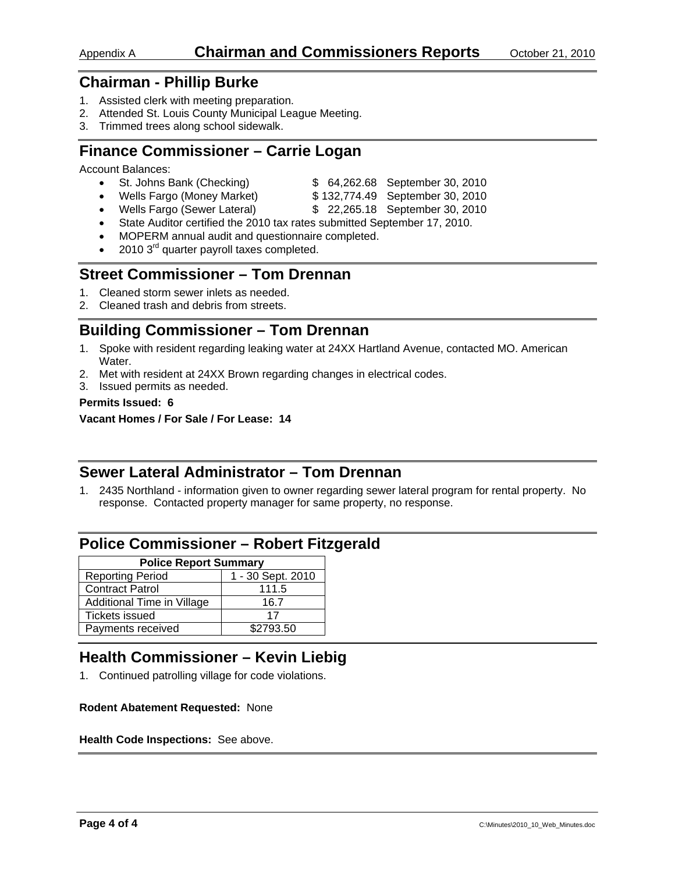### Appendix A **Chairman and Commissioners Reports** October 21, 2010

## **Chairman - Phillip Burke**

- 1. Assisted clerk with meeting preparation.
- 2. Attended St. Louis County Municipal League Meeting.
- 3. Trimmed trees along school sidewalk.

## **Finance Commissioner – Carrie Logan**

Account Balances:

- St. Johns Bank (Checking) \$ 64,262.68 September 30, 2010
- Wells Fargo (Money Market) \$132,774.49 September 30, 2010
- Wells Fargo (Sewer Lateral) \$ 22,265.18 September 30, 2010
- State Auditor certified the 2010 tax rates submitted September 17, 2010.
- MOPERM annual audit and questionnaire completed.
- 2010 3<sup>rd</sup> quarter payroll taxes completed.

## **Street Commissioner – Tom Drennan**

- 1. Cleaned storm sewer inlets as needed.
- 2. Cleaned trash and debris from streets.

## **Building Commissioner – Tom Drennan**

- 1. Spoke with resident regarding leaking water at 24XX Hartland Avenue, contacted MO. American Water.
- 2. Met with resident at 24XX Brown regarding changes in electrical codes.
- 3. Issued permits as needed.

#### **Permits Issued: 6**

**Vacant Homes / For Sale / For Lease: 14** 

## **Sewer Lateral Administrator – Tom Drennan**

1. 2435 Northland - information given to owner regarding sewer lateral program for rental property. No response. Contacted property manager for same property, no response.

## **Police Commissioner – Robert Fitzgerald**

| <b>Police Report Summary</b>                 |           |  |  |  |  |
|----------------------------------------------|-----------|--|--|--|--|
| 1 - 30 Sept. 2010<br><b>Reporting Period</b> |           |  |  |  |  |
| <b>Contract Patrol</b>                       | 111.5     |  |  |  |  |
| Additional Time in Village                   | 16.7      |  |  |  |  |
| <b>Tickets issued</b>                        | 17        |  |  |  |  |
| Payments received                            | \$2793.50 |  |  |  |  |

## **Health Commissioner – Kevin Liebig**

1. Continued patrolling village for code violations.

#### **Rodent Abatement Requested:** None

#### **Health Code Inspections:** See above.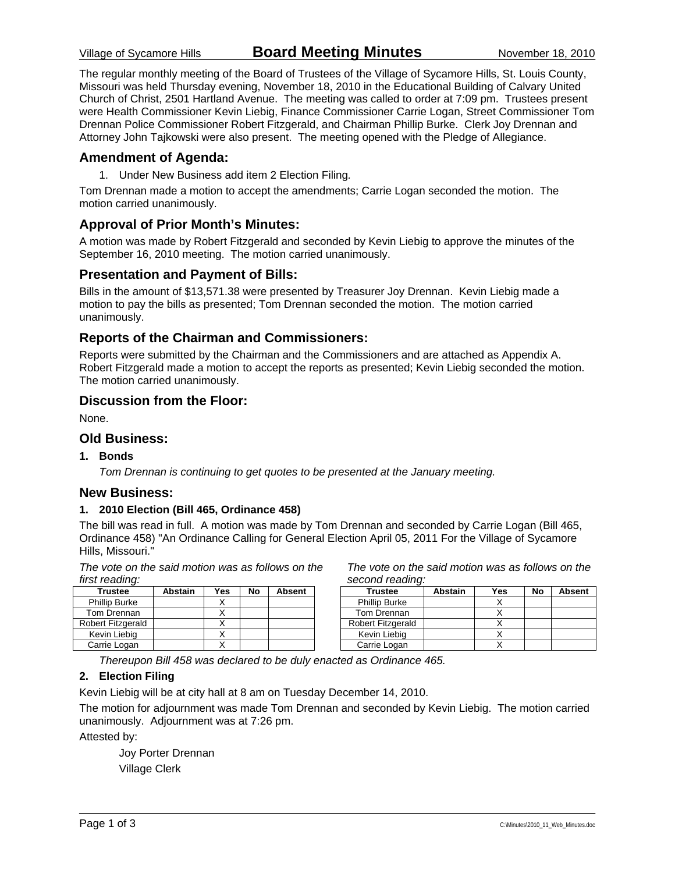The regular monthly meeting of the Board of Trustees of the Village of Sycamore Hills, St. Louis County, Missouri was held Thursday evening, November 18, 2010 in the Educational Building of Calvary United Church of Christ, 2501 Hartland Avenue. The meeting was called to order at 7:09 pm. Trustees present were Health Commissioner Kevin Liebig, Finance Commissioner Carrie Logan, Street Commissioner Tom Drennan Police Commissioner Robert Fitzgerald, and Chairman Phillip Burke. Clerk Joy Drennan and Attorney John Tajkowski were also present. The meeting opened with the Pledge of Allegiance.

#### **Amendment of Agenda:**

1. Under New Business add item 2 Election Filing*.*

Tom Drennan made a motion to accept the amendments; Carrie Logan seconded the motion. The motion carried unanimously.

#### **Approval of Prior Month's Minutes:**

A motion was made by Robert Fitzgerald and seconded by Kevin Liebig to approve the minutes of the September 16, 2010 meeting. The motion carried unanimously.

#### **Presentation and Payment of Bills:**

Bills in the amount of \$13,571.38 were presented by Treasurer Joy Drennan. Kevin Liebig made a motion to pay the bills as presented; Tom Drennan seconded the motion. The motion carried unanimously.

#### **Reports of the Chairman and Commissioners:**

Reports were submitted by the Chairman and the Commissioners and are attached as Appendix A. Robert Fitzgerald made a motion to accept the reports as presented; Kevin Liebig seconded the motion. The motion carried unanimously.

#### **Discussion from the Floor:**

None.

#### **Old Business:**

#### **1. Bonds**

*Tom Drennan is continuing to get quotes to be presented at the January meeting.* 

#### **New Business:**

#### **1. 2010 Election (Bill 465, Ordinance 458)**

The bill was read in full. A motion was made by Tom Drennan and seconded by Carrie Logan (Bill 465, Ordinance 458) "An Ordinance Calling for General Election April 05, 2011 For the Village of Sycamore Hills, Missouri."

*The vote on the said motion was as follows on the first reading:* 

| <b>Trustee</b>           | <b>Abstain</b> | Yes | No | <b>Absent</b> |
|--------------------------|----------------|-----|----|---------------|
| <b>Phillip Burke</b>     |                |     |    |               |
| Tom Drennan              |                |     |    |               |
| <b>Robert Fitzgerald</b> |                |     |    |               |
| Kevin Liebig             |                |     |    |               |
| Carrie Logan             |                |     |    |               |

*The vote on the said motion was as follows on the second reading:* 

| <b>Trustee</b>       | <b>Abstain</b> | Yes | No | <b>Absent</b> |
|----------------------|----------------|-----|----|---------------|
| <b>Phillip Burke</b> |                |     |    |               |
| Tom Drennan          |                |     |    |               |
| Robert Fitzgerald    |                |     |    |               |
| Kevin Liebig         |                |     |    |               |
| Carrie Logan         |                |     |    |               |

*Thereupon Bill 458 was declared to be duly enacted as Ordinance 465.* 

#### **2. Election Filing**

Kevin Liebig will be at city hall at 8 am on Tuesday December 14, 2010.

The motion for adjournment was made Tom Drennan and seconded by Kevin Liebig. The motion carried unanimously. Adjournment was at 7:26 pm.

Attested by:

 Joy Porter Drennan Village Clerk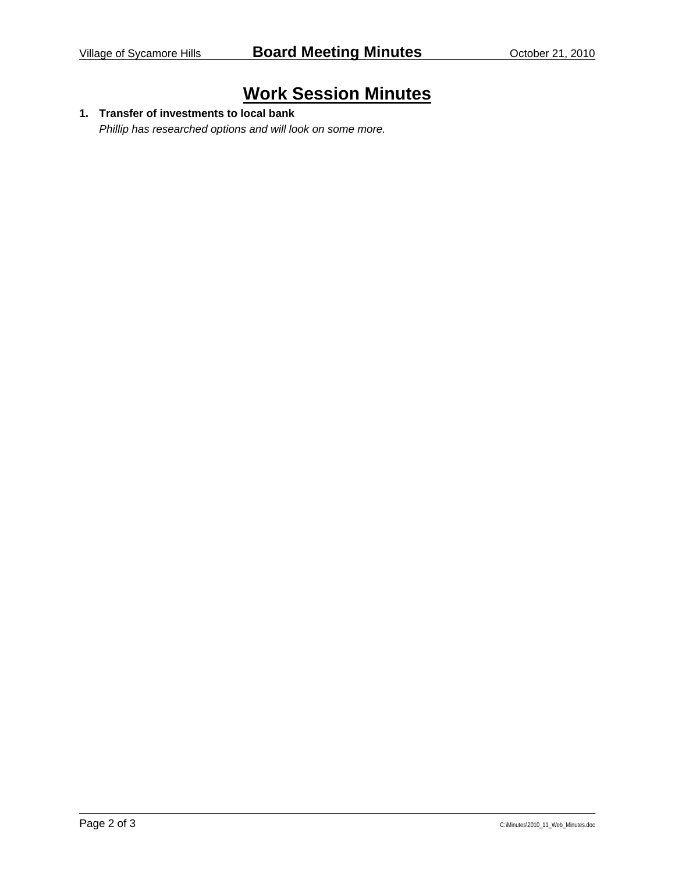# **Work Session Minutes**

## **1. Transfer of investments to local bank**

*Phillip has researched options and will look on some more.*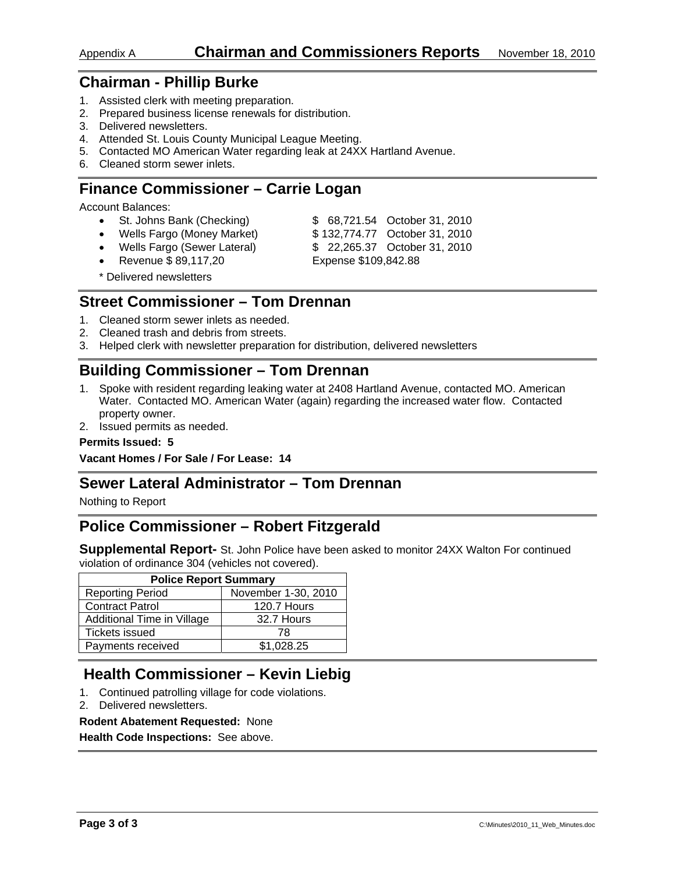### Appendix A **Chairman and Commissioners Reports** November 18, 2010

## **Chairman - Phillip Burke**

- 1. Assisted clerk with meeting preparation.
- 2. Prepared business license renewals for distribution.
- 3. Delivered newsletters.
- 4. Attended St. Louis County Municipal League Meeting.
- 5. Contacted MO American Water regarding leak at 24XX Hartland Avenue.
- 6. Cleaned storm sewer inlets.

## **Finance Commissioner – Carrie Logan**

Account Balances:

- St. Johns Bank (Checking) \$ 68,721.54 October 31, 2010
- Wells Fargo (Money Market) \$ 132,774.77 October 31, 2010
- Wells Fargo (Sewer Lateral) \$ 22,265.37 October 31, 2010
- 
- 
- Revenue \$ 89,117,20 Expense \$109,842.88
- 

\* Delivered newsletters

## **Street Commissioner – Tom Drennan**

- 1. Cleaned storm sewer inlets as needed.
- 2. Cleaned trash and debris from streets.
- 3. Helped clerk with newsletter preparation for distribution, delivered newsletters

## **Building Commissioner – Tom Drennan**

- 1. Spoke with resident regarding leaking water at 2408 Hartland Avenue, contacted MO. American Water. Contacted MO. American Water (again) regarding the increased water flow. Contacted property owner.
- 2. Issued permits as needed.

#### **Permits Issued: 5**

**Vacant Homes / For Sale / For Lease: 14** 

### **Sewer Lateral Administrator – Tom Drennan**

Nothing to Report

## **Police Commissioner – Robert Fitzgerald**

**Supplemental Report-** St. John Police have been asked to monitor 24XX Walton For continued violation of ordinance 304 (vehicles not covered).

| <b>Police Report Summary</b> |                     |  |  |  |
|------------------------------|---------------------|--|--|--|
| <b>Reporting Period</b>      | November 1-30, 2010 |  |  |  |
| <b>Contract Patrol</b>       | 120.7 Hours         |  |  |  |
| Additional Time in Village   | 32.7 Hours          |  |  |  |
| Tickets issued               | 78                  |  |  |  |
| Payments received            | \$1.028.25          |  |  |  |

## **Health Commissioner – Kevin Liebig**

- 1. Continued patrolling village for code violations.
- 2. Delivered newsletters.

#### **Rodent Abatement Requested:** None

**Health Code Inspections:** See above.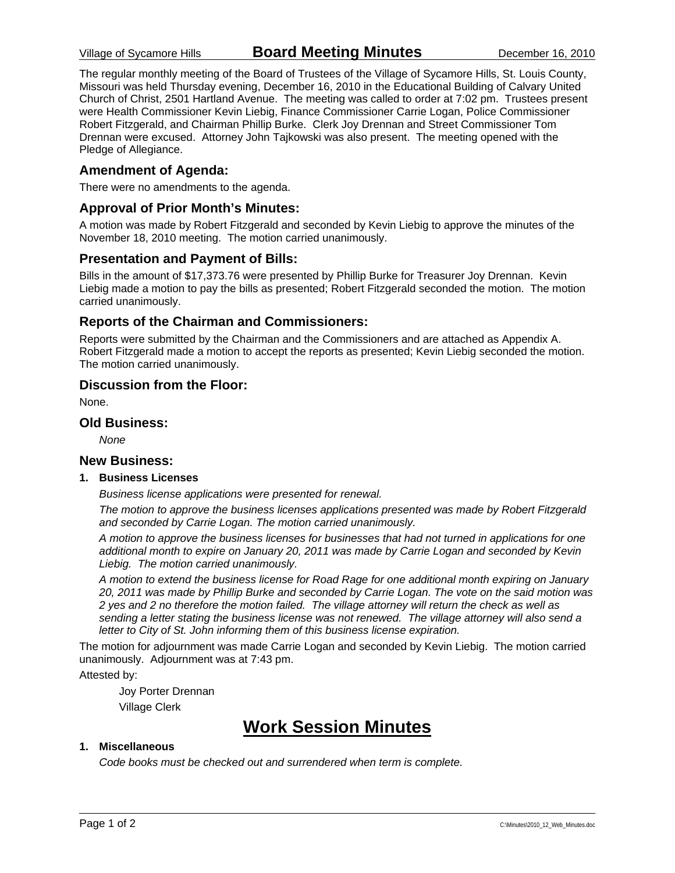The regular monthly meeting of the Board of Trustees of the Village of Sycamore Hills, St. Louis County, Missouri was held Thursday evening, December 16, 2010 in the Educational Building of Calvary United Church of Christ, 2501 Hartland Avenue. The meeting was called to order at 7:02 pm. Trustees present were Health Commissioner Kevin Liebig, Finance Commissioner Carrie Logan, Police Commissioner Robert Fitzgerald, and Chairman Phillip Burke. Clerk Joy Drennan and Street Commissioner Tom Drennan were excused. Attorney John Tajkowski was also present. The meeting opened with the Pledge of Allegiance.

#### **Amendment of Agenda:**

There were no amendments to the agenda.

#### **Approval of Prior Month's Minutes:**

A motion was made by Robert Fitzgerald and seconded by Kevin Liebig to approve the minutes of the November 18, 2010 meeting. The motion carried unanimously.

#### **Presentation and Payment of Bills:**

Bills in the amount of \$17,373.76 were presented by Phillip Burke for Treasurer Joy Drennan. Kevin Liebig made a motion to pay the bills as presented; Robert Fitzgerald seconded the motion. The motion carried unanimously.

#### **Reports of the Chairman and Commissioners:**

Reports were submitted by the Chairman and the Commissioners and are attached as Appendix A. Robert Fitzgerald made a motion to accept the reports as presented; Kevin Liebig seconded the motion. The motion carried unanimously.

#### **Discussion from the Floor:**

None.

#### **Old Business:**

*None* 

#### **New Business:**

#### **1. Business Licenses**

*Business license applications were presented for renewal.* 

*The motion to approve the business licenses applications presented was made by Robert Fitzgerald and seconded by Carrie Logan. The motion carried unanimously.* 

*A motion to approve the business licenses for businesses that had not turned in applications for one additional month to expire on January 20, 2011 was made by Carrie Logan and seconded by Kevin Liebig. The motion carried unanimously.* 

*A motion to extend the business license for Road Rage for one additional month expiring on January 20, 2011 was made by Phillip Burke and seconded by Carrie Logan. The vote on the said motion was 2 yes and 2 no therefore the motion failed. The village attorney will return the check as well as sending a letter stating the business license was not renewed. The village attorney will also send a letter to City of St. John informing them of this business license expiration.* 

The motion for adjournment was made Carrie Logan and seconded by Kevin Liebig. The motion carried unanimously. Adjournment was at 7:43 pm.

Attested by:

 Joy Porter Drennan Village Clerk

## **Work Session Minutes**

#### **1. Miscellaneous**

*Code books must be checked out and surrendered when term is complete.*